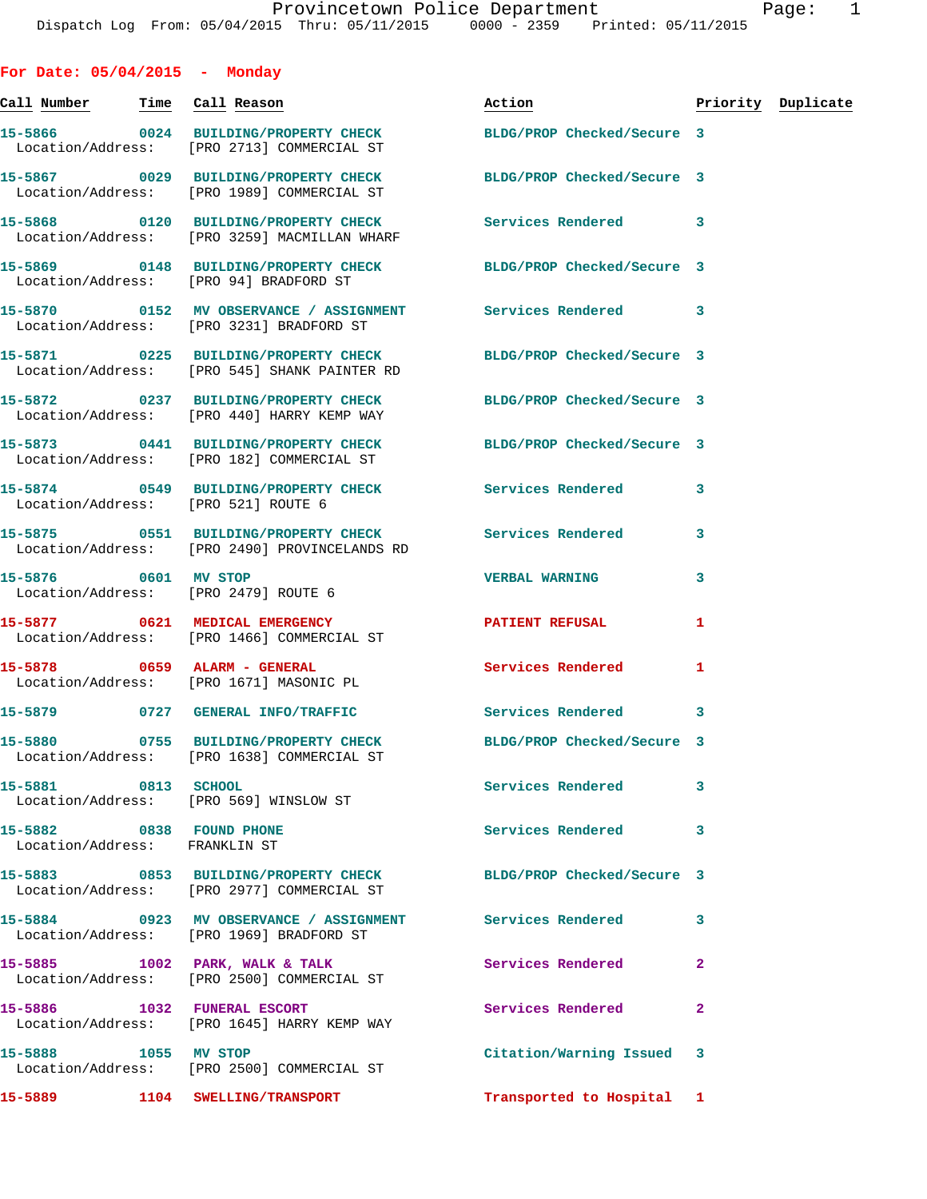**Call Number Time Call Reason Action Priority Duplicate 15-5866 0024 BUILDING/PROPERTY CHECK BLDG/PROP Checked/Secure 3**  Location/Address: [PRO 2713] COMMERCIAL ST **15-5867 0029 BUILDING/PROPERTY CHECK BLDG/PROP Checked/Secure 3**  Location/Address: [PRO 1989] COMMERCIAL ST **15-5868 0120 BUILDING/PROPERTY CHECK Services Rendered 3**  Location/Address: [PRO 3259] MACMILLAN WHARF **15-5869 0148 BUILDING/PROPERTY CHECK BLDG/PROP Checked/Secure 3**  Location/Address: [PRO 94] BRADFORD ST **15-5870 0152 MV OBSERVANCE / ASSIGNMENT Services Rendered 3**  Location/Address: [PRO 3231] BRADFORD ST **15-5871 0225 BUILDING/PROPERTY CHECK BLDG/PROP Checked/Secure 3**  Location/Address: [PRO 545] SHANK PAINTER RD **15-5872 0237 BUILDING/PROPERTY CHECK BLDG/PROP Checked/Secure 3**  Location/Address: [PRO 440] HARRY KEMP WAY **15-5873 0441 BUILDING/PROPERTY CHECK BLDG/PROP Checked/Secure 3**  Location/Address: [PRO 182] COMMERCIAL ST **15-5874 0549 BUILDING/PROPERTY CHECK Services Rendered 3**  Location/Address: [PRO 521] ROUTE 6 **15-5875 0551 BUILDING/PROPERTY CHECK Services Rendered 3**  Location/Address: [PRO 2490] PROVINCELANDS RD **15-5876 0601 MV STOP VERBAL WARNING 3**  Location/Address: [PRO 2479] ROUTE 6 **15-5877 0621 MEDICAL EMERGENCY PATIENT REFUSAL 1**  Location/Address: [PRO 1466] COMMERCIAL ST **15-5878 0659 ALARM - GENERAL Services Rendered 1**  Location/Address: [PRO 1671] MASONIC PL **15-5879 0727 GENERAL INFO/TRAFFIC Services Rendered 3 15-5880 0755 BUILDING/PROPERTY CHECK BLDG/PROP Checked/Secure 3**  Location/Address: [PRO 1638] COMMERCIAL ST **15-5881 0813 SCHOOL Services Rendered 3**  Location/Address: [PRO 569] WINSLOW ST **15-5882 0838 FOUND PHONE Services Rendered 3**  Location/Address: FRANKLIN ST **15-5883 0853 BUILDING/PROPERTY CHECK BLDG/PROP Checked/Secure 3**  Location/Address: [PRO 2977] COMMERCIAL ST **15-5884 0923 MV OBSERVANCE / ASSIGNMENT Services Rendered 3**  Location/Address: [PRO 1969] BRADFORD ST 15-5885 1002 PARK, WALK & TALK **Services Rendered** 2 Location/Address: [PRO 2500] COMMERCIAL ST **15-5886 1032 FUNERAL ESCORT Services Rendered 2**  Location/Address: [PRO 1645] HARRY KEMP WAY

**15-5888 1055 MV STOP Citation/Warning Issued 3**  Location/Address: [PRO 2500] COMMERCIAL ST

**15-5889 1104 SWELLING/TRANSPORT Transported to Hospital 1** 

**For Date: 05/04/2015 - Monday**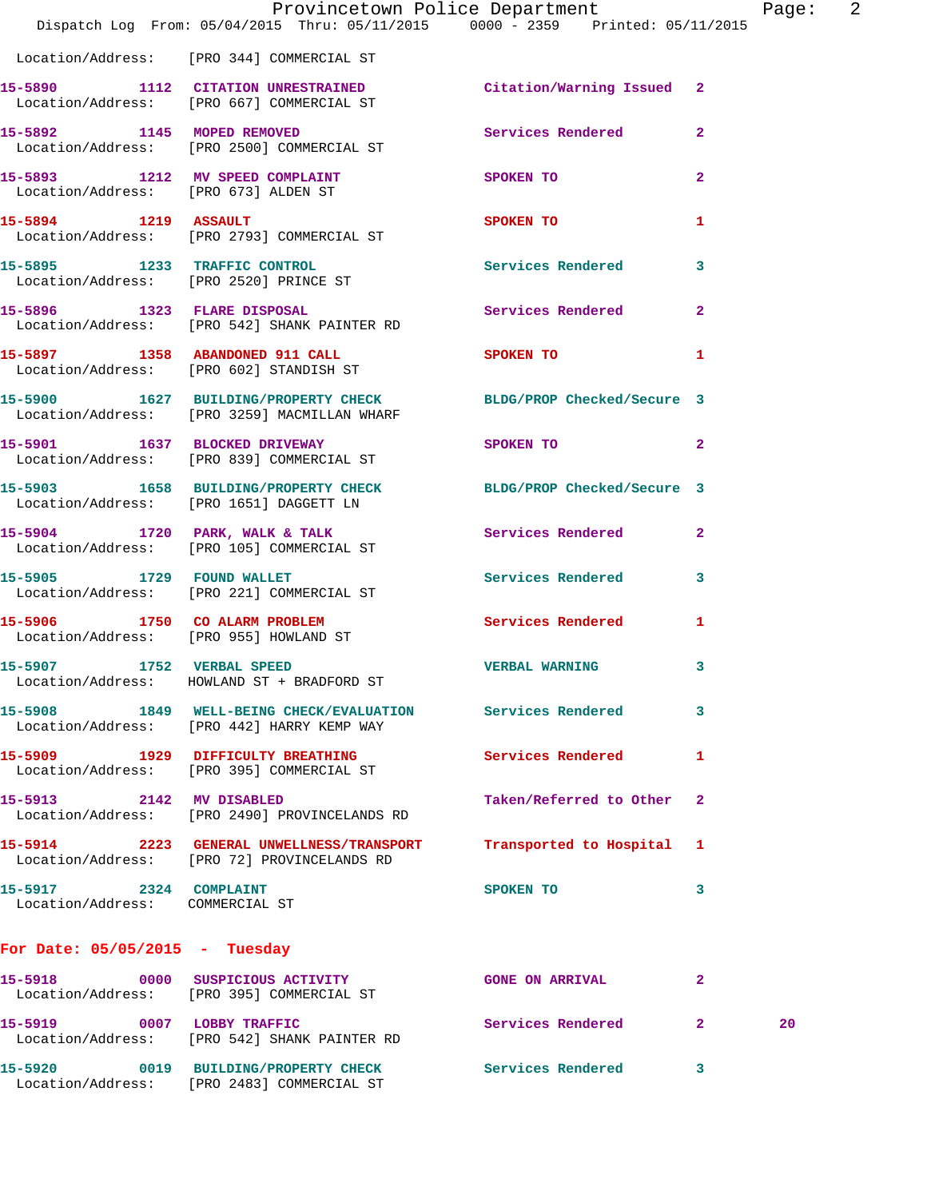|                                                           | Dispatch Log From: 05/04/2015 Thru: 05/11/2015 0000 - 2359 Printed: 05/11/2015                                  | Provincetown Police Department                                                                                                                                                                                                |                | Page: | $\overline{2}$ |
|-----------------------------------------------------------|-----------------------------------------------------------------------------------------------------------------|-------------------------------------------------------------------------------------------------------------------------------------------------------------------------------------------------------------------------------|----------------|-------|----------------|
|                                                           | Location/Address: [PRO 344] COMMERCIAL ST                                                                       |                                                                                                                                                                                                                               |                |       |                |
|                                                           | 15-5890 1112 CITATION UNRESTRAINED Citation/Warning Issued 2<br>Location/Address: [PRO 667] COMMERCIAL ST       |                                                                                                                                                                                                                               |                |       |                |
|                                                           | 15-5892 1145 MOPED REMOVED<br>Location/Address: [PRO 2500] COMMERCIAL ST                                        | Services Rendered                                                                                                                                                                                                             | $\mathbf{2}$   |       |                |
|                                                           | 15-5893 1212 MV SPEED COMPLAINT<br>Location/Address: [PRO 673] ALDEN ST                                         | SPOKEN TO                                                                                                                                                                                                                     | $\overline{2}$ |       |                |
| 15-5894 1219 ASSAULT                                      | Location/Address: [PRO 2793] COMMERCIAL ST                                                                      | <b>SPOKEN TO</b>                                                                                                                                                                                                              | 1              |       |                |
|                                                           | 15-5895 1233 TRAFFIC CONTROL<br>Location/Address: [PRO 2520] PRINCE ST                                          | Services Rendered                                                                                                                                                                                                             | 3              |       |                |
|                                                           | 15-5896 1323 FLARE DISPOSAL<br>Location/Address: [PRO 542] SHANK PAINTER RD                                     | <b>Services Rendered</b>                                                                                                                                                                                                      | $\mathbf{2}$   |       |                |
|                                                           | 15-5897 1358 ABANDONED 911 CALL<br>Location/Address: [PRO 602] STANDISH ST                                      | SPOKEN TO DESCRIPTION OF REAL PROPERTY.                                                                                                                                                                                       | 1              |       |                |
|                                                           | 15-5900 1627 BUILDING/PROPERTY CHECK BLDG/PROP Checked/Secure 3<br>Location/Address: [PRO 3259] MACMILLAN WHARF |                                                                                                                                                                                                                               |                |       |                |
|                                                           | 15-5901 1637 BLOCKED DRIVEWAY<br>Location/Address: [PRO 839] COMMERCIAL ST                                      | SPOKEN TO THE STATE OF THE STATE OF THE STATE OF THE STATE OF THE STATE OF THE STATE OF THE STATE OF THE STATE OF THE STATE OF THE STATE OF THE STATE OF THE STATE OF THE STATE OF THE STATE OF THE STATE OF THE STATE OF THE | $\mathbf{2}$   |       |                |
|                                                           | 15-5903 1658 BUILDING/PROPERTY CHECK BLDG/PROP Checked/Secure 3<br>Location/Address: [PRO 1651] DAGGETT LN      |                                                                                                                                                                                                                               |                |       |                |
|                                                           | 15-5904 1720 PARK, WALK & TALK<br>Location/Address: [PRO 105] COMMERCIAL ST                                     | Services Rendered                                                                                                                                                                                                             | $\mathbf{2}$   |       |                |
|                                                           | 15-5905 1729 FOUND WALLET<br>Location/Address: [PRO 221] COMMERCIAL ST                                          | Services Rendered                                                                                                                                                                                                             | 3              |       |                |
|                                                           | 15-5906 1750 CO ALARM PROBLEM<br>Location/Address: [PRO 955] HOWLAND ST                                         | <b>Services Rendered</b>                                                                                                                                                                                                      | 1              |       |                |
| 15-5907 1752 VERBAL SPEED                                 | Location/Address: HOWLAND ST + BRADFORD ST                                                                      | <b>VERBAL WARNING</b>                                                                                                                                                                                                         | 3              |       |                |
|                                                           | 15-5908 1849 WELL-BEING CHECK/EVALUATION Services Rendered<br>Location/Address: [PRO 442] HARRY KEMP WAY        |                                                                                                                                                                                                                               | 3              |       |                |
|                                                           | 15-5909 1929 DIFFICULTY BREATHING<br>Location/Address: [PRO 395] COMMERCIAL ST                                  | <b>Services Rendered</b>                                                                                                                                                                                                      | 1              |       |                |
| 15-5913 2142 MV DISABLED                                  | Location/Address: [PRO 2490] PROVINCELANDS RD                                                                   | Taken/Referred to Other                                                                                                                                                                                                       | -2             |       |                |
|                                                           | 15-5914 2223 GENERAL UNWELLNESS/TRANSPORT<br>Location/Address: [PRO 72] PROVINCELANDS RD                        | Transported to Hospital 1                                                                                                                                                                                                     |                |       |                |
| 15-5917 2324 COMPLAINT<br>Location/Address: COMMERCIAL ST |                                                                                                                 | SPOKEN TO                                                                                                                                                                                                                     | 3              |       |                |
| For Date: $05/05/2015$ - Tuesday                          |                                                                                                                 |                                                                                                                                                                                                                               |                |       |                |
|                                                           | 15-5918 0000 SUSPICIOUS ACTIVITY<br>Location/Address: [PRO 395] COMMERCIAL ST                                   | <b>GONE ON ARRIVAL</b>                                                                                                                                                                                                        | $\mathbf{2}$   |       |                |
|                                                           | 15-5919 0007 LOBBY TRAFFIC<br>Location/Address: [PRO 542] SHANK PAINTER RD                                      | <b>Services Rendered</b>                                                                                                                                                                                                      | $\mathbf{2}$   | 20    |                |
|                                                           | 15-5920 0019 BUILDING/PROPERTY CHECK<br>Location/Address: [PRO 2483] COMMERCIAL ST                              | Services Rendered                                                                                                                                                                                                             | 3              |       |                |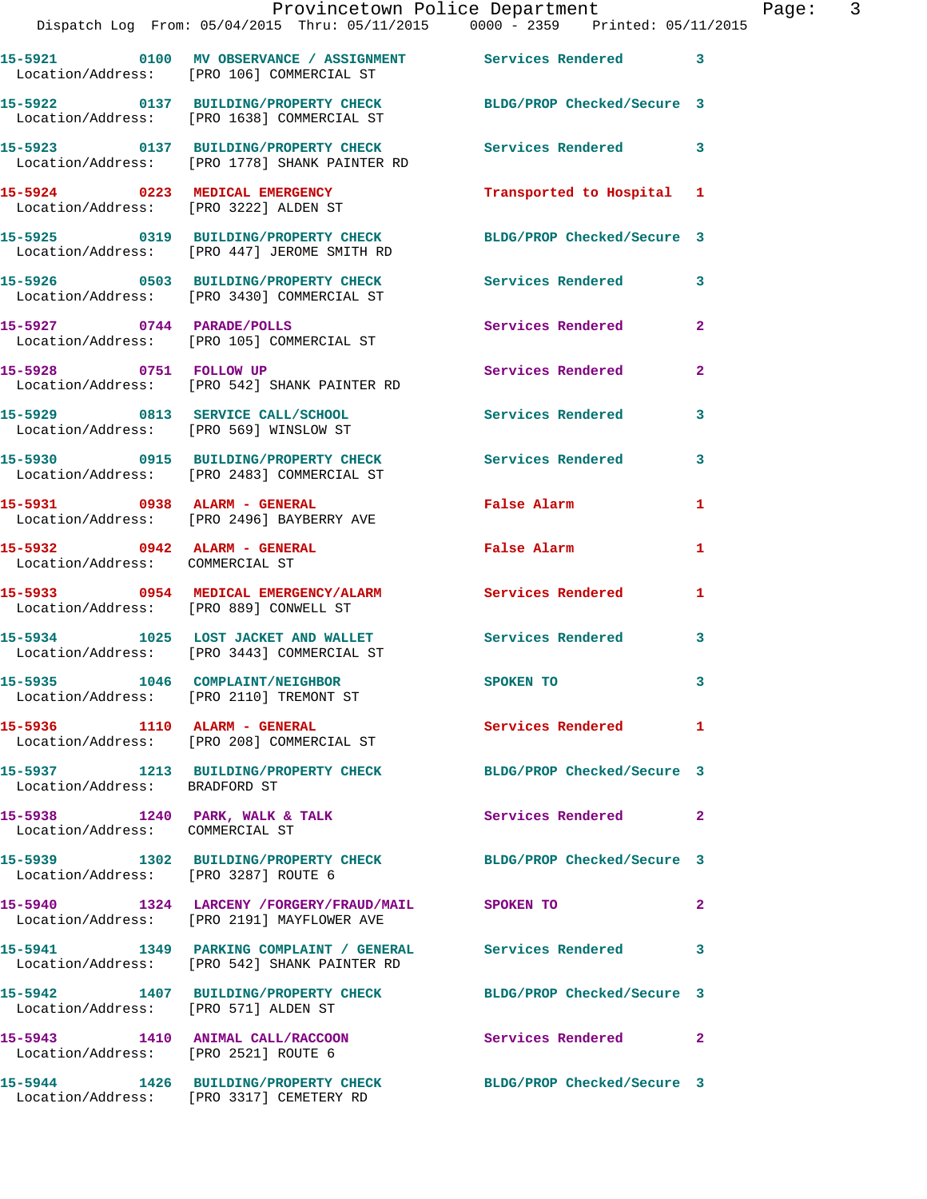|                                 | Provincetown Police Department<br>Dispatch Log From: 05/04/2015 Thru: 05/11/2015 0000 - 2359 Printed: 05/11/2015 |                           |                |
|---------------------------------|------------------------------------------------------------------------------------------------------------------|---------------------------|----------------|
|                                 | 15-5921 0100 MV OBSERVANCE / ASSIGNMENT Services Rendered 3<br>Location/Address: [PRO 106] COMMERCIAL ST         |                           |                |
|                                 | 15-5922 0137 BUILDING/PROPERTY CHECK BLDG/PROP Checked/Secure 3<br>Location/Address: [PRO 1638] COMMERCIAL ST    |                           |                |
|                                 | 15-5923 0137 BUILDING/PROPERTY CHECK Services Rendered<br>Location/Address: [PRO 1778] SHANK PAINTER RD          |                           | 3              |
| 15-5924 0223 MEDICAL EMERGENCY  | Location/Address: [PRO 3222] ALDEN ST                                                                            | Transported to Hospital 1 |                |
|                                 | 15-5925 0319 BUILDING/PROPERTY CHECK BLDG/PROP Checked/Secure 3<br>Location/Address: [PRO 447] JEROME SMITH RD   |                           |                |
|                                 | 15-5926 0503 BUILDING/PROPERTY CHECK<br>Location/Address: [PRO 3430] COMMERCIAL ST                               | Services Rendered         | 3              |
| 15-5927 0744 PARADE/POLLS       | Location/Address: [PRO 105] COMMERCIAL ST                                                                        | Services Rendered         | $\overline{2}$ |
| 15-5928 0751 FOLLOW UP          | Location/Address: [PRO 542] SHANK PAINTER RD                                                                     | <b>Services Rendered</b>  | $\overline{2}$ |
|                                 | 15-5929 0813 SERVICE CALL/SCHOOL Services Rendered<br>Location/Address: [PRO 569] WINSLOW ST                     |                           | 3              |
|                                 | 15-5930 0915 BUILDING/PROPERTY CHECK Services Rendered<br>Location/Address: [PRO 2483] COMMERCIAL ST             |                           | 3              |
|                                 | 15-5931 0938 ALARM - GENERAL<br>Location/Address: [PRO 2496] BAYBERRY AVE                                        | False Alarm               | 1              |
| Location/Address: COMMERCIAL ST | 15-5932 0942 ALARM - GENERAL                                                                                     | False Alarm               | 1              |
|                                 | 15-5933 0954 MEDICAL EMERGENCY/ALARM Services Rendered<br>Location/Address: [PRO 889] CONWELL ST                 |                           | $\mathbf{1}$   |
|                                 | 15-5934 1025 LOST JACKET AND WALLET<br>Location/Address: [PRO 3443] COMMERCIAL ST                                | Services Rendered         | 3              |
| 15-5935 1046 COMPLAINT/NEIGHBOR | Location/Address: [PRO 2110] TREMONT ST                                                                          | SPOKEN TO                 | 3              |

**15-5936 1110 ALARM - GENERAL Services Rendered 1**  Location/Address: [PRO 208] COMMERCIAL ST

**15-5937 1213 BUILDING/PROPERTY CHECK BLDG/PROP Checked/Secure 3**  Location/Address: BRADFORD ST

15-5938 1240 PARK, WALK & TALK **Services Rendered** 2 Location/Address: COMMERCIAL ST

Location/Address: [PRO 3287] ROUTE 6

Location/Address: [PRO 2191] MAYFLOWER AVE

**15-5941 1349 PARKING COMPLAINT / GENERAL Services Rendered 3**  Location/Address: [PRO 542] SHANK PAINTER RD

Location/Address: [PRO 571] ALDEN ST

**15-5943 1410 ANIMAL CALL/RACCOON Services Rendered 2**  Location/Address: [PRO 2521] ROUTE 6

**15-5944 1426 BUILDING/PROPERTY CHECK BLDG/PROP Checked/Secure 3**  Location/Address: [PRO 3317] CEMETERY RD

Page: 3

**15-5939 1302 BUILDING/PROPERTY CHECK BLDG/PROP Checked/Secure 3** 

**15-5940 1324 LARCENY /FORGERY/FRAUD/MAIL SPOKEN TO 2** 

**15-5942 1407 BUILDING/PROPERTY CHECK BLDG/PROP Checked/Secure 3**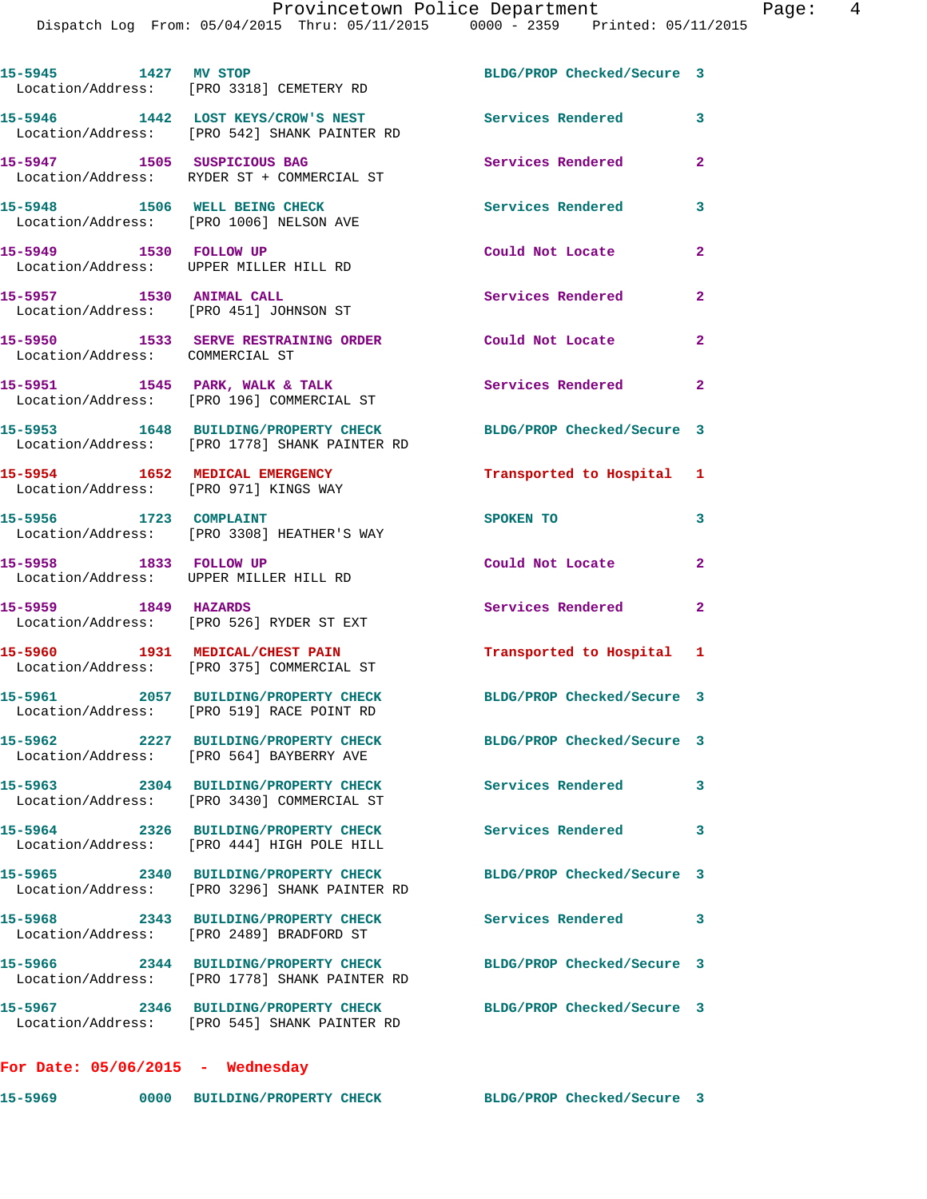| 15-5945 1427 MV STOP                                                    | Location/Address: [PRO 3318] CEMETERY RD                                              | BLDG/PROP Checked/Secure 3 |                |
|-------------------------------------------------------------------------|---------------------------------------------------------------------------------------|----------------------------|----------------|
|                                                                         | 15-5946 1442 LOST KEYS/CROW'S NEST<br>Location/Address: [PRO 542] SHANK PAINTER RD    | <b>Services Rendered</b>   | 3              |
| 15-5947 1505 SUSPICIOUS BAG                                             | Location/Address: RYDER ST + COMMERCIAL ST                                            | <b>Services Rendered</b>   | $\overline{2}$ |
| 15-5948 1506 WELL BEING CHECK                                           | Location/Address: [PRO 1006] NELSON AVE                                               | <b>Services Rendered</b>   | 3              |
| 15-5949 1530 FOLLOW UP                                                  | Location/Address: UPPER MILLER HILL RD                                                | Could Not Locate           | $\mathbf{2}$   |
| 15-5957 1530 ANIMAL CALL<br>Location/Address: [PRO 451] JOHNSON ST      |                                                                                       | Services Rendered          | $\mathbf{2}$   |
| Location/Address: COMMERCIAL ST                                         | 15-5950 1533 SERVE RESTRAINING ORDER                                                  | Could Not Locate           | $\mathbf{2}$   |
|                                                                         | 15-5951 1545 PARK, WALK & TALK<br>Location/Address: [PRO 196] COMMERCIAL ST           | Services Rendered          | $\mathbf{2}$   |
|                                                                         | 15-5953 1648 BUILDING/PROPERTY CHECK<br>Location/Address: [PRO 1778] SHANK PAINTER RD | BLDG/PROP Checked/Secure 3 |                |
| 15-5954 1652 MEDICAL EMERGENCY<br>Location/Address: [PRO 971] KINGS WAY |                                                                                       | Transported to Hospital 1  |                |
| 15-5956 1723 COMPLAINT                                                  | Location/Address: [PRO 3308] HEATHER'S WAY                                            | SPOKEN TO                  | 3              |
| 15-5958 1833 FOLLOW UP<br>Location/Address: UPPER MILLER HILL RD        |                                                                                       | Could Not Locate           | $\overline{2}$ |
| 15-5959 1849 HAZARDS                                                    | Location/Address: [PRO 526] RYDER ST EXT                                              | Services Rendered          | $\mathbf{2}$   |
|                                                                         | 15-5960 1931 MEDICAL/CHEST PAIN<br>Location/Address: [PRO 375] COMMERCIAL ST          | Transported to Hospital 1  |                |
|                                                                         | 15-5961 2057 BUILDING/PROPERTY CHECK<br>Location/Address: [PRO 519] RACE POINT RD     | BLDG/PROP Checked/Secure 3 |                |
|                                                                         | 15-5962 2227 BUILDING/PROPERTY CHECK<br>Location/Address: [PRO 564] BAYBERRY AVE      | BLDG/PROP Checked/Secure 3 |                |
|                                                                         | 15-5963 2304 BUILDING/PROPERTY CHECK<br>Location/Address: [PRO 3430] COMMERCIAL ST    | Services Rendered          | 3              |
|                                                                         | 15-5964 2326 BUILDING/PROPERTY CHECK<br>Location/Address: [PRO 444] HIGH POLE HILL    | <b>Services Rendered</b>   | 3              |
|                                                                         | 15-5965 2340 BUILDING/PROPERTY CHECK<br>Location/Address: [PRO 3296] SHANK PAINTER RD | BLDG/PROP Checked/Secure 3 |                |
| 15-5968                                                                 | 2343 BUILDING/PROPERTY CHECK<br>Location/Address: [PRO 2489] BRADFORD ST              | Services Rendered          | 3              |
|                                                                         | 15-5966 2344 BUILDING/PROPERTY CHECK<br>Location/Address: [PRO 1778] SHANK PAINTER RD | BLDG/PROP Checked/Secure 3 |                |
|                                                                         | Location/Address: [PRO 545] SHANK PAINTER RD                                          | BLDG/PROP Checked/Secure 3 |                |
|                                                                         |                                                                                       |                            |                |

**For Date: 05/06/2015 - Wednesday**

| 15–5969<br>0000 BUILDING/PROPERTY CHECK | BLDG/PROP Checked/Secure 3 |
|-----------------------------------------|----------------------------|
|-----------------------------------------|----------------------------|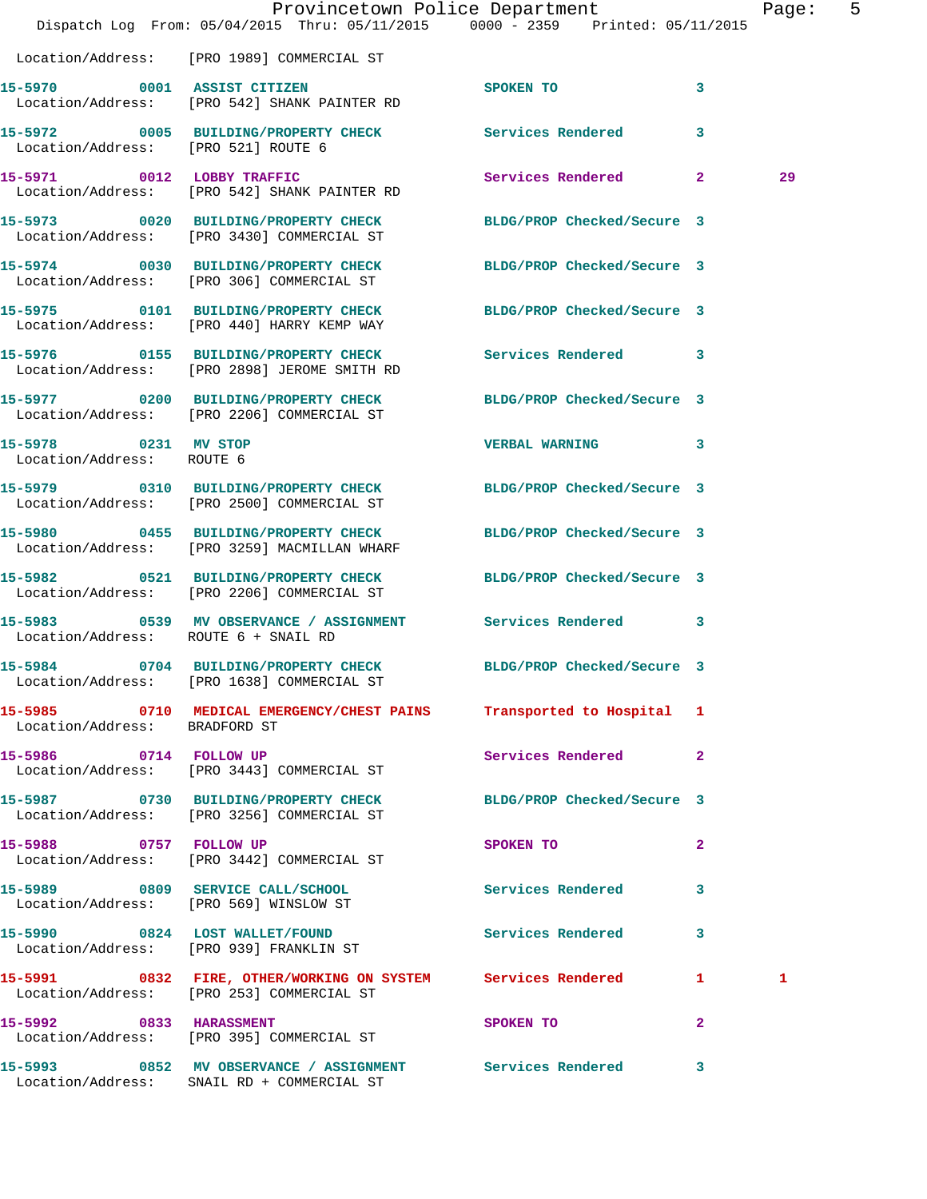|                                                   | Dispatch Log From: 05/04/2015 Thru: 05/11/2015 0000 - 2359 Printed: 05/11/2015                                | Provincetown Police Department          |                | Page: 5 |  |
|---------------------------------------------------|---------------------------------------------------------------------------------------------------------------|-----------------------------------------|----------------|---------|--|
|                                                   | Location/Address: [PRO 1989] COMMERCIAL ST                                                                    |                                         |                |         |  |
|                                                   | 15-5970 0001 ASSIST CITIZEN<br>Location/Address: [PRO 542] SHANK PAINTER RD                                   | SPOKEN TO                               | 3              |         |  |
| Location/Address: [PRO 521] ROUTE 6               | 15-5972 0005 BUILDING/PROPERTY CHECK Services Rendered 3                                                      |                                         |                |         |  |
|                                                   | 15-5971 0012 LOBBY TRAFFIC<br>Location/Address: [PRO 542] SHANK PAINTER RD                                    | Services Rendered 2                     |                | 29      |  |
|                                                   | 15-5973 0020 BUILDING/PROPERTY CHECK<br>Location/Address: [PRO 3430] COMMERCIAL ST                            | BLDG/PROP Checked/Secure 3              |                |         |  |
|                                                   | 15-5974 0030 BUILDING/PROPERTY CHECK BLDG/PROP Checked/Secure 3<br>Location/Address: [PRO 306] COMMERCIAL ST  |                                         |                |         |  |
|                                                   | 15-5975 0101 BUILDING/PROPERTY CHECK<br>Location/Address: [PRO 440] HARRY KEMP WAY                            | BLDG/PROP Checked/Secure 3              |                |         |  |
|                                                   | 15-5976 0155 BUILDING/PROPERTY CHECK Services Rendered 3<br>Location/Address: [PRO 2898] JEROME SMITH RD      |                                         |                |         |  |
|                                                   | 15-5977 0200 BUILDING/PROPERTY CHECK<br>Location/Address: [PRO 2206] COMMERCIAL ST                            | BLDG/PROP Checked/Secure 3              |                |         |  |
| 15-5978 0231 MV STOP<br>Location/Address: ROUTE 6 |                                                                                                               | VERBAL WARNING 3                        |                |         |  |
|                                                   | 15-5979 0310 BUILDING/PROPERTY CHECK BLDG/PROP Checked/Secure 3<br>Location/Address: [PRO 2500] COMMERCIAL ST |                                         |                |         |  |
|                                                   | 15-5980 0455 BUILDING/PROPERTY CHECK<br>Location/Address: [PRO 3259] MACMILLAN WHARF                          | BLDG/PROP Checked/Secure 3              |                |         |  |
|                                                   | 15-5982 0521 BUILDING/PROPERTY CHECK<br>Location/Address: [PRO 2206] COMMERCIAL ST                            | BLDG/PROP Checked/Secure 3              |                |         |  |
| Location/Address: ROUTE 6 + SNAIL RD              | 15-5983 0539 MV OBSERVANCE / ASSIGNMENT Services Rendered 3                                                   |                                         |                |         |  |
|                                                   | 15-5984 0704 BUILDING/PROPERTY CHECK BLDG/PROP Checked/Secure 3<br>Location/Address: [PRO 1638] COMMERCIAL ST |                                         |                |         |  |
| Location/Address: BRADFORD ST                     | 15-5985 0710 MEDICAL EMERGENCY/CHEST PAINS Transported to Hospital 1                                          |                                         |                |         |  |
|                                                   | 15-5986 0714 FOLLOW UP<br>Location/Address: [PRO 3443] COMMERCIAL ST                                          | Services Rendered 2                     |                |         |  |
|                                                   | 15-5987 0730 BUILDING/PROPERTY CHECK BLDG/PROP Checked/Secure 3<br>Location/Address: [PRO 3256] COMMERCIAL ST |                                         |                |         |  |
|                                                   | 15-5988 0757 FOLLOW UP<br>Location/Address: [PRO 3442] COMMERCIAL ST                                          | SPOKEN TO DESCRIPTION OF REAL PROPERTY. | $\mathbf{2}$   |         |  |
|                                                   | 15-5989 0809 SERVICE CALL/SCHOOL 5 Services Rendered 3<br>Location/Address: [PRO 569] WINSLOW ST              |                                         |                |         |  |
|                                                   | 15-5990 0824 LOST WALLET/FOUND<br>Location/Address: [PRO 939] FRANKLIN ST                                     | Services Rendered                       | 3              |         |  |
|                                                   | 15-5991 0832 FIRE, OTHER/WORKING ON SYSTEM Services Rendered 1<br>Location/Address: [PRO 253] COMMERCIAL ST   |                                         |                | 1       |  |
|                                                   | 15-5992 0833 HARASSMENT<br>Location/Address: [PRO 395] COMMERCIAL ST                                          | SPOKEN TO                               | $\overline{2}$ |         |  |
|                                                   | 15-5993 0852 MV OBSERVANCE / ASSIGNMENT Services Rendered 3<br>Location/Address: SNAIL RD + COMMERCIAL ST     |                                         |                |         |  |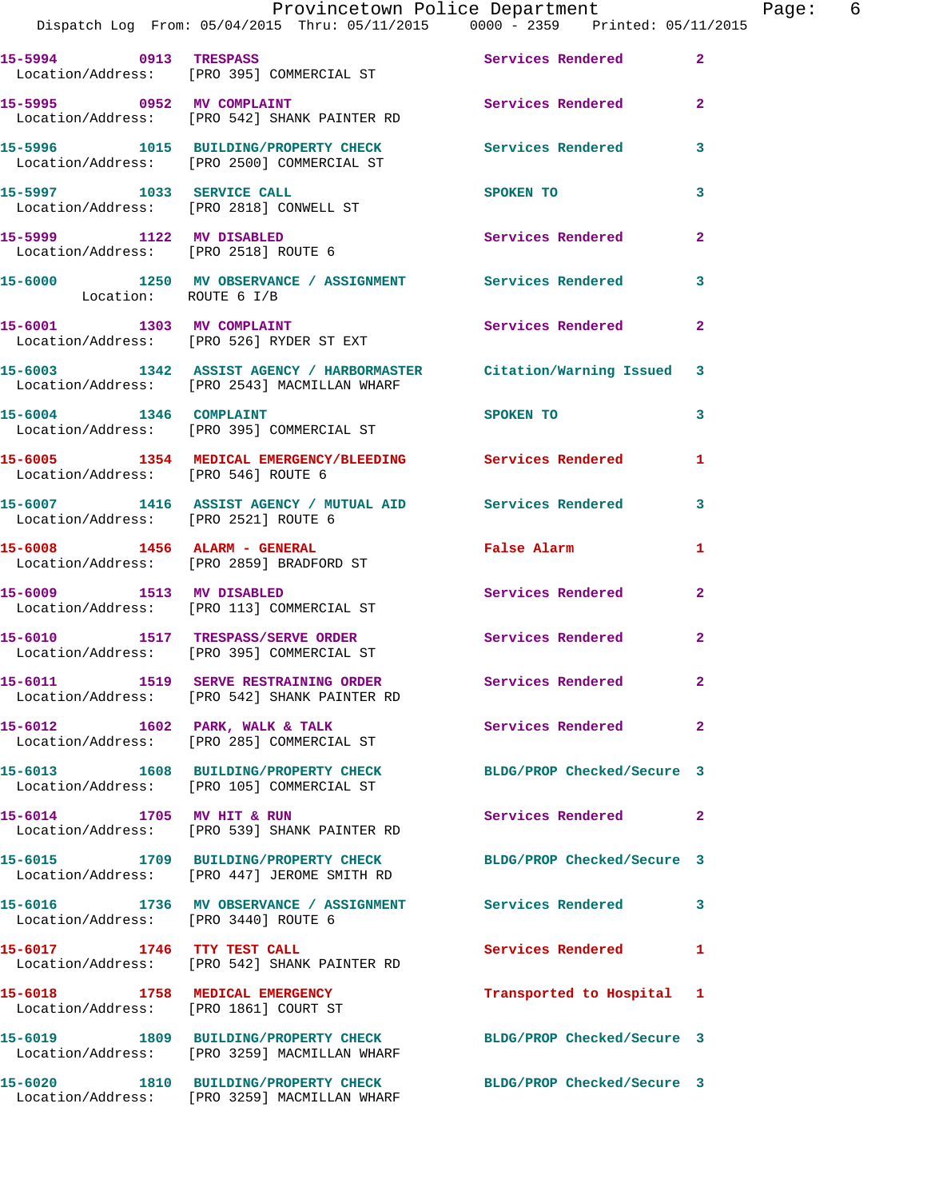|                                      | Provincetown Police Department<br>Dispatch Log From: 05/04/2015 Thru: 05/11/2015 0000 - 2359 Printed: 05/11/2015    |                            | Page: 6        |
|--------------------------------------|---------------------------------------------------------------------------------------------------------------------|----------------------------|----------------|
|                                      | 15-5994 0913 TRESPASS<br>Location/Address: [PRO 395] COMMERCIAL ST                                                  | Services Rendered 2        |                |
|                                      | 15-5995 0952 MV COMPLAINT Services Rendered 2<br>Location/Address: [PRO 542] SHANK PAINTER RD                       |                            |                |
|                                      | 15-5996 1015 BUILDING/PROPERTY CHECK Services Rendered 3<br>Location/Address: [PRO 2500] COMMERCIAL ST              |                            |                |
|                                      | 15-5997 1033 SERVICE CALL SPOKEN TO<br>Location/Address: [PRO 2818] CONWELL ST                                      |                            | 3              |
| 15-5999 1122 MV DISABLED             | Location/Address: [PRO 2518] ROUTE 6                                                                                | Services Rendered 2        |                |
| Location: ROUTE 6 I/B                | 15-6000 1250 MV OBSERVANCE / ASSIGNMENT Services Rendered 3                                                         |                            |                |
|                                      | 15-6001 1303 MV COMPLAINT<br>Location/Address: [PRO 526] RYDER ST EXT                                               | Services Rendered 2        |                |
|                                      | 15-6003 1342 ASSIST AGENCY / HARBORMASTER Citation/Warning Issued 3<br>Location/Address: [PRO 2543] MACMILLAN WHARF |                            |                |
| 15-6004 1346 COMPLAINT               | Location/Address: [PRO 395] COMMERCIAL ST                                                                           | SPOKEN TO 3                |                |
| Location/Address: [PRO 546] ROUTE 6  | 15-6005 1354 MEDICAL EMERGENCY/BLEEDING Services Rendered                                                           |                            | 1              |
| Location/Address: [PRO 2521] ROUTE 6 | 15-6007 1416 ASSIST AGENCY / MUTUAL AID Services Rendered 3                                                         |                            |                |
|                                      | 15-6008 1456 ALARM - GENERAL<br>Location/Address: [PRO 2859] BRADFORD ST                                            | False Alarm                | 1              |
|                                      | 15-6009 1513 MV DISABLED<br>Location/Address: [PRO 113] COMMERCIAL ST                                               | Services Rendered 2        |                |
|                                      | 15-6010 1517 TRESPASS/SERVE ORDER<br>Location/Address: [PRO 395] COMMERCIAL ST                                      | Services Rendered 2        |                |
|                                      | 15-6011 1519 SERVE RESTRAINING ORDER Services Rendered<br>Location/Address: [PRO 542] SHANK PAINTER RD              |                            |                |
|                                      | 15-6012 1602 PARK, WALK & TALK<br>Location/Address: [PRO 285] COMMERCIAL ST                                         | Services Rendered          | $\overline{a}$ |
|                                      | 15-6013 1608 BUILDING/PROPERTY CHECK BLDG/PROP Checked/Secure 3<br>Location/Address: [PRO 105] COMMERCIAL ST        |                            |                |
|                                      | 15-6014 1705 MV HIT & RUN<br>Location/Address: [PRO 539] SHANK PAINTER RD                                           | Services Rendered          | $\mathbf{2}$   |
|                                      | 15-6015 1709 BUILDING/PROPERTY CHECK BLDG/PROP Checked/Secure 3<br>Location/Address: [PRO 447] JEROME SMITH RD      |                            |                |
| Location/Address: [PRO 3440] ROUTE 6 | 15-6016 1736 MV OBSERVANCE / ASSIGNMENT Services Rendered                                                           |                            | 3              |
| 15-6017 1746 TTY TEST CALL           | Location/Address: [PRO 542] SHANK PAINTER RD                                                                        | Services Rendered          | 1              |
|                                      | 15-6018 1758 MEDICAL EMERGENCY<br>Location/Address: [PRO 1861] COURT ST                                             | Transported to Hospital 1  |                |
|                                      | 15-6019 1809 BUILDING/PROPERTY CHECK BLDG/PROP Checked/Secure 3<br>Location/Address: [PRO 3259] MACMILLAN WHARF     |                            |                |
|                                      | 15-6020 1810 BUILDING/PROPERTY CHECK<br>Location/Address: [PRO 3259] MACMILLAN WHARF                                | BLDG/PROP Checked/Secure 3 |                |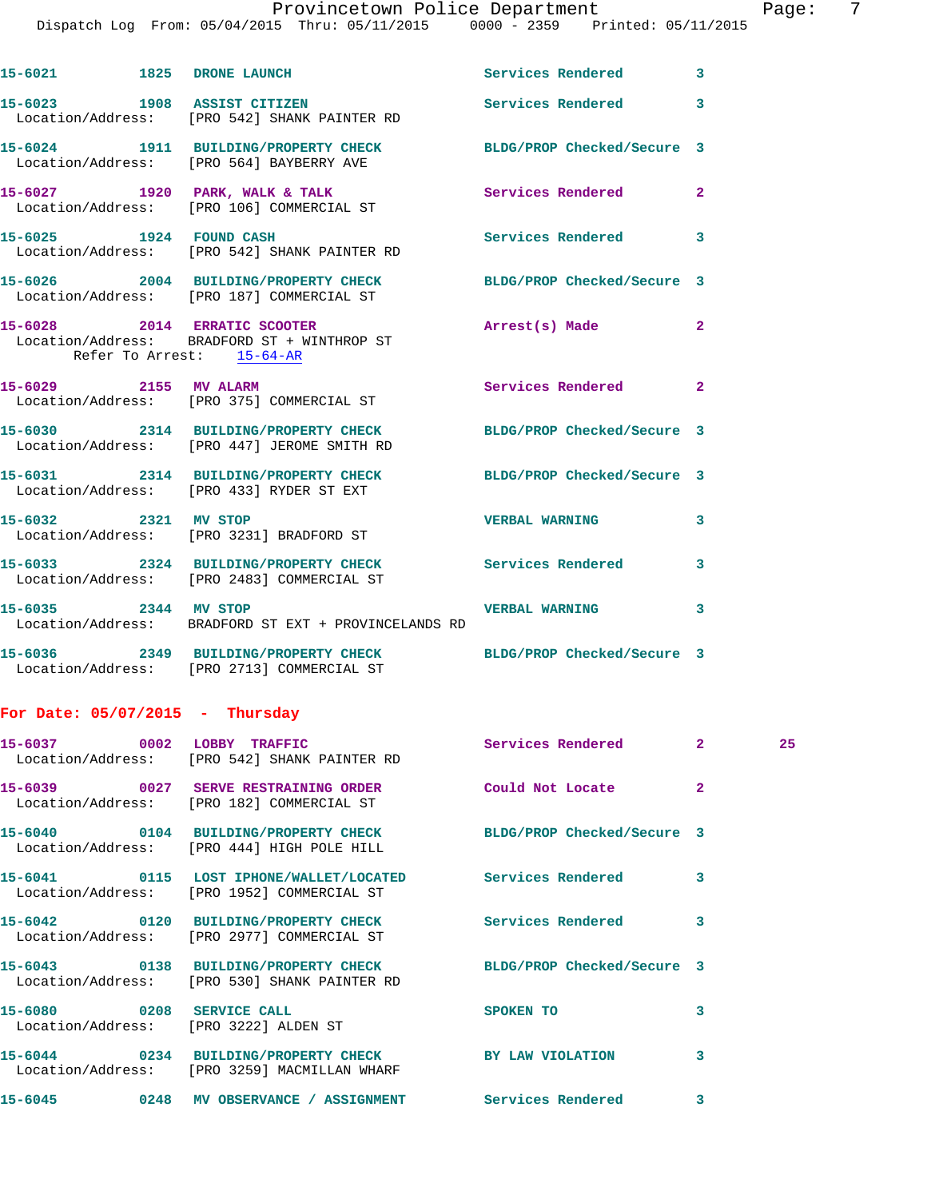## Provincetown Police Department Fage: 7

Dispatch Log From: 05/04/2015 Thru: 05/11/2015 0000 - 2359 Printed: 05/11/2015

|                      | 15-6021 1825 DRONE LAUNCH                                                                                    | <b>Services Rendered</b>   | $\overline{\mathbf{3}}$ |
|----------------------|--------------------------------------------------------------------------------------------------------------|----------------------------|-------------------------|
|                      | 15-6023 1908 ASSIST CITIZEN<br>Location/Address: [PRO 542] SHANK PAINTER RD                                  | <b>Services Rendered</b>   | $\overline{\mathbf{3}}$ |
|                      | 15-6024 1911 BUILDING/PROPERTY CHECK BLDG/PROP Checked/Secure 3<br>Location/Address: [PRO 564] BAYBERRY AVE  |                            |                         |
|                      | 15-6027 1920 PARK, WALK & TALK<br>Location/Address: [PRO 106] COMMERCIAL ST                                  | <b>Services Rendered</b>   | $\mathbf{2}$            |
|                      | 15-6025 1924 FOUND CASH<br>Location/Address: [PRO 542] SHANK PAINTER RD                                      | Services Rendered          | $\mathbf{3}$            |
|                      | 15-6026 2004 BUILDING/PROPERTY CHECK BLDG/PROP Checked/Secure 3<br>Location/Address: [PRO 187] COMMERCIAL ST |                            |                         |
|                      | 15-6028 2014 ERRATIC SCOOTER<br>Location/Address: BRADFORD ST + WINTHROP ST<br>Refer To Arrest: 15-64-AR     | Arrest(s) Made             | $\mathbf{2}$            |
|                      | 15-6029 2155 MV ALARM<br>Location/Address: [PRO 375] COMMERCIAL ST                                           | <b>Services Rendered</b>   | $\mathbf{2}$            |
|                      | 15-6030 2314 BUILDING/PROPERTY CHECK<br>Location/Address: [PRO 447] JEROME SMITH RD                          | BLDG/PROP Checked/Secure 3 |                         |
|                      | 15-6031 2314 BUILDING/PROPERTY CHECK<br>Location/Address: [PRO 433] RYDER ST EXT                             | BLDG/PROP Checked/Secure 3 |                         |
| 15-6032 2321 MV STOP | Location/Address: [PRO 3231] BRADFORD ST                                                                     | <b>VERBAL WARNING</b>      | 3                       |
|                      | 15-6033 2324 BUILDING/PROPERTY CHECK Services Rendered<br>Location/Address: [PRO 2483] COMMERCIAL ST         |                            | 3                       |
|                      | 15-6035 2344 MV STOP<br>Location/Address: BRADFORD ST EXT + PROVINCELANDS RD                                 | <b>VERBAL WARNING</b>      | 3                       |
|                      |                                                                                                              |                            |                         |

**15-6036 2349 BUILDING/PROPERTY CHECK BLDG/PROP Checked/Secure 3**  Location/Address: [PRO 2713] COMMERCIAL ST

## **For Date: 05/07/2015 - Thursday**

|                                                                    | Location/Address: [PRO 542] SHANK PAINTER RD                                                                    |           |                         | 25 |
|--------------------------------------------------------------------|-----------------------------------------------------------------------------------------------------------------|-----------|-------------------------|----|
|                                                                    | Location/Address: [PRO 182] COMMERCIAL ST                                                                       |           | $\overline{2}$          |    |
|                                                                    | 15-6040   0104 BUILDING/PROPERTY CHECK BLDG/PROP Checked/Secure 3<br>Location/Address: [PRO 444] HIGH POLE HILL |           |                         |    |
|                                                                    | 15-6041  0115 LOST IPHONE/WALLET/LOCATED  Services Rendered<br>Location/Address: [PRO 1952] COMMERCIAL ST       |           | 3                       |    |
|                                                                    | 15-6042 0120 BUILDING/PROPERTY CHECK Services Rendered<br>Location/Address: [PRO 2977] COMMERCIAL ST            |           | 3                       |    |
|                                                                    | 15-6043 0138 BUILDING/PROPERTY CHECK BLDG/PROP Checked/Secure 3<br>Location/Address: [PRO 530] SHANK PAINTER RD |           |                         |    |
| 15-6080 0208 SERVICE CALL<br>Location/Address: [PRO 3222] ALDEN ST |                                                                                                                 | SPOKEN TO | $\overline{\mathbf{3}}$ |    |
|                                                                    | 15-6044 0234 BUILDING/PROPERTY CHECK BY LAW VIOLATION<br>Location/Address: [PRO 3259] MACMILLAN WHARF           |           | 3                       |    |
|                                                                    | 15-6045 		 0248 MV OBSERVANCE / ASSIGNMENT Services Rendered                                                    |           | 3                       |    |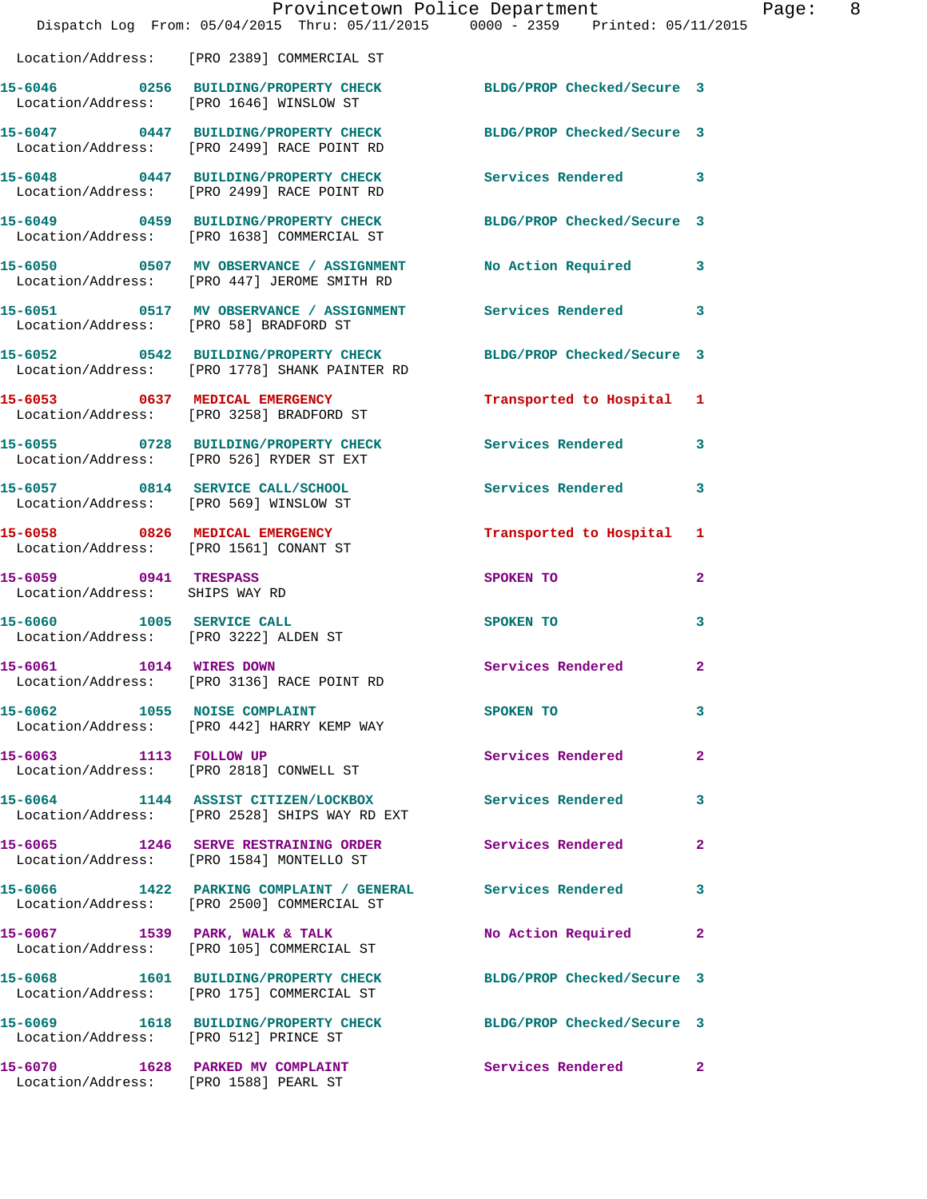|                                                                          | Provincetown Police Department<br>Dispatch Log From: 05/04/2015 Thru: 05/11/2015 0000 - 2359 Printed: 05/11/2015 |                            |                |
|--------------------------------------------------------------------------|------------------------------------------------------------------------------------------------------------------|----------------------------|----------------|
|                                                                          | Location/Address: [PRO 2389] COMMERCIAL ST                                                                       |                            |                |
|                                                                          | 15-6046 0256 BUILDING/PROPERTY CHECK<br>Location/Address: [PRO 1646] WINSLOW ST                                  | BLDG/PROP Checked/Secure 3 |                |
|                                                                          | 15-6047 0447 BUILDING/PROPERTY CHECK<br>Location/Address: [PRO 2499] RACE POINT RD                               | BLDG/PROP Checked/Secure 3 |                |
|                                                                          | 15-6048 0447 BUILDING/PROPERTY CHECK<br>Location/Address: [PRO 2499] RACE POINT RD                               | <b>Services Rendered</b>   | 3              |
|                                                                          | 15-6049 0459 BUILDING/PROPERTY CHECK<br>Location/Address: [PRO 1638] COMMERCIAL ST                               | BLDG/PROP Checked/Secure 3 |                |
|                                                                          | 15-6050 0507 MV OBSERVANCE / ASSIGNMENT<br>Location/Address: [PRO 447] JEROME SMITH RD                           | No Action Required         | 3              |
| Location/Address: [PRO 58] BRADFORD ST                                   | 15-6051 0517 MV OBSERVANCE / ASSIGNMENT Services Rendered                                                        |                            | 3              |
|                                                                          | 15-6052 0542 BUILDING/PROPERTY CHECK<br>Location/Address: [PRO 1778] SHANK PAINTER RD                            | BLDG/PROP Checked/Secure 3 |                |
|                                                                          | 15-6053 0637 MEDICAL EMERGENCY<br>Location/Address: [PRO 3258] BRADFORD ST                                       | Transported to Hospital    | 1              |
|                                                                          | 15-6055 0728 BUILDING/PROPERTY CHECK<br>Location/Address: [PRO 526] RYDER ST EXT                                 | <b>Services Rendered</b>   | 3              |
|                                                                          | 15-6057 0814 SERVICE CALL/SCHOOL<br>Location/Address: [PRO 569] WINSLOW ST                                       | <b>Services Rendered</b>   | 3              |
| 15-6058 0826 MEDICAL EMERGENCY<br>Location/Address: [PRO 1561] CONANT ST |                                                                                                                  | Transported to Hospital    | 1              |
| 15-6059 0941 TRESPASS<br>Location/Address: SHIPS WAY RD                  |                                                                                                                  | SPOKEN TO                  | $\overline{a}$ |
| 15-6060 1005 SERVICE CALL<br>Location/Address: [PRO 3222] ALDEN ST       |                                                                                                                  | <b>SPOKEN TO</b>           | 3              |
| 15-6061 1014 WIRES DOWN                                                  | Location/Address: [PRO 3136] RACE POINT RD                                                                       | Services Rendered          | $\overline{a}$ |
| 15-6062 1055 NOISE COMPLAINT                                             | Location/Address: [PRO 442] HARRY KEMP WAY                                                                       | SPOKEN TO                  | 3              |
|                                                                          | 15-6063 1113 FOLLOW UP<br>Location/Address: [PRO 2818] CONWELL ST                                                | Services Rendered          | $\mathbf{2}$   |
|                                                                          | 15-6064 1144 ASSIST CITIZEN/LOCKBOX Services Rendered<br>Location/Address: [PRO 2528] SHIPS WAY RD EXT           |                            | 3              |
|                                                                          | 15-6065 1246 SERVE RESTRAINING ORDER<br>Location/Address: [PRO 1584] MONTELLO ST                                 | <b>Services Rendered</b>   | $\mathbf{2}$   |
|                                                                          | 15-6066 1422 PARKING COMPLAINT / GENERAL Services Rendered<br>Location/Address: [PRO 2500] COMMERCIAL ST         |                            | 3              |
|                                                                          | 15-6067 1539 PARK, WALK & TALK<br>Location/Address: [PRO 105] COMMERCIAL ST                                      | No Action Required         | $\mathbf{2}$   |
|                                                                          | 15-6068 1601 BUILDING/PROPERTY CHECK<br>Location/Address: [PRO 175] COMMERCIAL ST                                | BLDG/PROP Checked/Secure 3 |                |
| Location/Address: [PRO 512] PRINCE ST                                    | 15-6069 1618 BUILDING/PROPERTY CHECK                                                                             | BLDG/PROP Checked/Secure 3 |                |
| Location/Address: [PRO 1588] PEARL ST                                    | 15-6070 1628 PARKED MV COMPLAINT                                                                                 | Services Rendered          | $\mathbf{2}$   |

Page: 8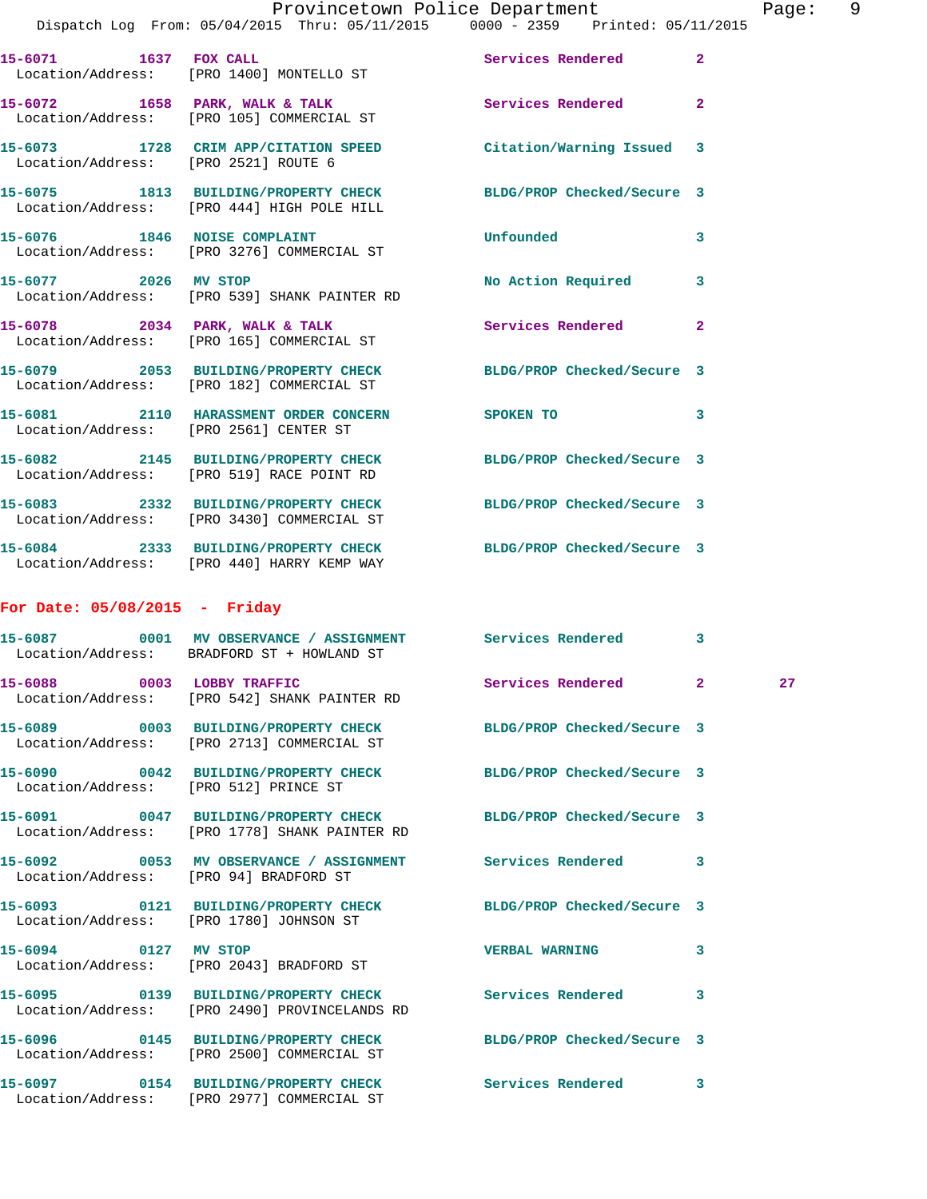|         |      |                                          | Provincetown Police Department                                                 |                   | Page: | - 9 |
|---------|------|------------------------------------------|--------------------------------------------------------------------------------|-------------------|-------|-----|
|         |      |                                          | Dispatch Log From: 05/04/2015 Thru: 05/11/2015 0000 - 2359 Printed: 05/11/2015 |                   |       |     |
| 15-6071 | 1637 | FOX CALL                                 |                                                                                | Services Rendered |       |     |
|         |      | Location/Address: [PRO 1400] MONTELLO ST |                                                                                |                   |       |     |
| 15-6072 | 1658 | PARK, WALK & TALK                        |                                                                                | Services Rendered |       |     |

 Location/Address: [PRO 105] COMMERCIAL ST **15-6073 1728 CRIM APP/CITATION SPEED Citation/Warning Issued 3**  Location/Address: [PRO 2521] ROUTE 6

**15-6075 1813 BUILDING/PROPERTY CHECK BLDG/PROP Checked/Secure 3**  Location/Address: [PRO 444] HIGH POLE HILL

**15-6076 1846 NOISE COMPLAINT Unfounded 3**  Location/Address: [PRO 3276] COMMERCIAL ST **15-6077 2026 MV STOP No Action Required 3** 

 Location/Address: [PRO 539] SHANK PAINTER RD 15-6078 2034 PARK, WALK & TALK **Services Rendered** 2 Location/Address: [PRO 165] COMMERCIAL ST **15-6079 2053 BUILDING/PROPERTY CHECK BLDG/PROP Checked/Secure 3** 

 Location/Address: [PRO 182] COMMERCIAL ST **15-6081 2110 HARASSMENT ORDER CONCERN SPOKEN TO 3**  Location/Address: [PRO 2561] CENTER ST **15-6082 2145 BUILDING/PROPERTY CHECK BLDG/PROP Checked/Secure 3**  Location/Address: [PRO 519] RACE POINT RD

**15-6083 2332 BUILDING/PROPERTY CHECK BLDG/PROP Checked/Secure 3**  Location/Address: [PRO 3430] COMMERCIAL ST **15-6084 2333 BUILDING/PROPERTY CHECK BLDG/PROP Checked/Secure 3**  Location/Address: [PRO 440] HARRY KEMP WAY

## **For Date: 05/08/2015 - Friday**

|                                        | 15-6087 6001 MV OBSERVANCE / ASSIGNMENT Services Rendered 3<br>Location/Address: BRADFORD ST + HOWLAND ST                    |                       |                         |    |
|----------------------------------------|------------------------------------------------------------------------------------------------------------------------------|-----------------------|-------------------------|----|
|                                        | 15-6088 0003 LOBBY TRAFFIC Services Rendered 2<br>Location/Address: [PRO 542] SHANK PAINTER RD                               |                       |                         | 27 |
|                                        | 15-6089 0003 BUILDING/PROPERTY CHECK BLDG/PROP Checked/Secure 3<br>Location/Address: [PRO 2713] COMMERCIAL ST                |                       |                         |    |
| Location/Address: [PRO 512] PRINCE ST  | 15-6090 0042 BUILDING/PROPERTY CHECK BLDG/PROP Checked/Secure 3                                                              |                       |                         |    |
|                                        | 15-6091 0047 BUILDING/PROPERTY CHECK BLDG/PROP Checked/Secure 3<br>Location/Address: [PRO 1778] SHANK PAINTER RD             |                       |                         |    |
| Location/Address: [PRO 94] BRADFORD ST | 15-6092 0053 MV OBSERVANCE / ASSIGNMENT Services Rendered                                                                    |                       | $\overline{\mathbf{3}}$ |    |
|                                        | 15-6093 0121 BUILDING/PROPERTY CHECK BLDG/PROP Checked/Secure 3<br>Location/Address: [PRO 1780] JOHNSON ST                   |                       |                         |    |
|                                        | 15-6094 0127 MV STOP<br>Location/Address: [PRO 2043] BRADFORD ST                                                             | <b>VERBAL WARNING</b> | 3                       |    |
|                                        | 15-6095       0139   BUILDING/PROPERTY CHECK        Services Rendered<br>Location/Address: [PRO 2490] PROVINCELANDS RD       |                       | 3                       |    |
|                                        | 15-6096       0145   BUILDING/PROPERTY CHECK        BLDG/PROP Checked/Secure 3<br>Location/Address: [PRO 2500] COMMERCIAL ST |                       |                         |    |
|                                        | 15-6097  0154 BUILDING/PROPERTY CHECK Services Rendered<br>Location/Address: [PRO 2977] COMMERCIAL ST                        |                       | $\mathbf{3}$            |    |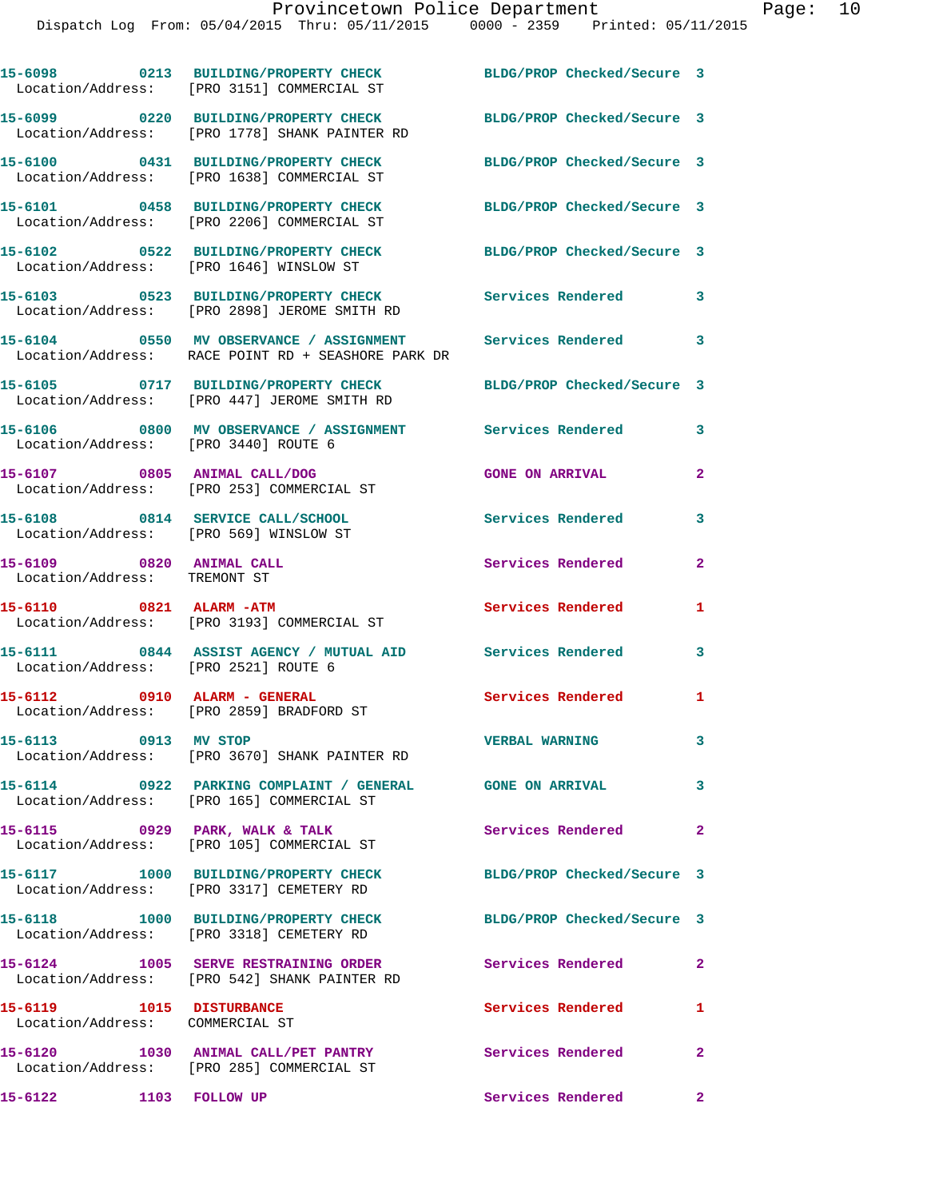|                                                                            | 15-6098 0213 BUILDING/PROPERTY CHECK<br>Location/Address: [PRO 3151] COMMERCIAL ST                                | BLDG/PROP Checked/Secure 3 |                            |
|----------------------------------------------------------------------------|-------------------------------------------------------------------------------------------------------------------|----------------------------|----------------------------|
|                                                                            | 15-6099 0220 BUILDING/PROPERTY CHECK<br>Location/Address: [PRO 1778] SHANK PAINTER RD                             | BLDG/PROP Checked/Secure 3 |                            |
|                                                                            | 15-6100 0431 BUILDING/PROPERTY CHECK<br>Location/Address: [PRO 1638] COMMERCIAL ST                                | BLDG/PROP Checked/Secure 3 |                            |
|                                                                            | 15-6101 0458 BUILDING/PROPERTY CHECK<br>Location/Address: [PRO 2206] COMMERCIAL ST                                | BLDG/PROP Checked/Secure 3 |                            |
|                                                                            | 15-6102 0522 BUILDING/PROPERTY CHECK<br>Location/Address: [PRO 1646] WINSLOW ST                                   | BLDG/PROP Checked/Secure 3 |                            |
|                                                                            | 15-6103 0523 BUILDING/PROPERTY CHECK<br>Location/Address: [PRO 2898] JEROME SMITH RD                              | Services Rendered 3        |                            |
|                                                                            | 15-6104 0550 MV OBSERVANCE / ASSIGNMENT Services Rendered 3<br>Location/Address: RACE POINT RD + SEASHORE PARK DR |                            |                            |
|                                                                            |                                                                                                                   | BLDG/PROP Checked/Secure 3 |                            |
| Location/Address: [PRO 3440] ROUTE 6                                       |                                                                                                                   |                            | 3                          |
|                                                                            | 15-6107 0805 ANIMAL CALL/DOG<br>Location/Address: [PRO 253] COMMERCIAL ST                                         | <b>GONE ON ARRIVAL</b>     | $\overline{a}$             |
| 15-6108 0814 SERVICE CALL/SCHOOL<br>Location/Address: [PRO 569] WINSLOW ST |                                                                                                                   | <b>Services Rendered</b>   | 3                          |
| 15-6109 0820 ANIMAL CALL<br>Location/Address: TREMONT ST                   |                                                                                                                   | Services Rendered          | $\overline{2}$             |
| 15-6110 0821 ALARM -ATM                                                    | Location/Address: [PRO 3193] COMMERCIAL ST                                                                        | Services Rendered          | 1                          |
| Location/Address: [PRO 2521] ROUTE 6                                       | 15-6111 0844 ASSIST AGENCY / MUTUAL AID Services Rendered                                                         |                            | 3                          |
|                                                                            | 15-6112 0910 ALARM - GENERAL<br>Location/Address: [PRO 2859] BRADFORD ST                                          | Services Rendered          | 1                          |
| 15-6113 0913 MV STOP                                                       | Location/Address: [PRO 3670] SHANK PAINTER RD                                                                     | <b>VERBAL WARNING</b>      | 3                          |
|                                                                            | 15-6114 0922 PARKING COMPLAINT / GENERAL GONE ON ARRIVAL 3<br>Location/Address: [PRO 165] COMMERCIAL ST           |                            |                            |
|                                                                            | 15-6115 0929 PARK, WALK & TALK<br>Location/Address: [PRO 105] COMMERCIAL ST                                       | Services Rendered 2        |                            |
|                                                                            | 15-6117 1000 BUILDING/PROPERTY CHECK<br>Location/Address: [PRO 3317] CEMETERY RD                                  | BLDG/PROP Checked/Secure 3 |                            |
|                                                                            | 15-6118 1000 BUILDING/PROPERTY CHECK<br>Location/Address: [PRO 3318] CEMETERY RD                                  | BLDG/PROP Checked/Secure 3 |                            |
|                                                                            | 15-6124 1005 SERVE RESTRAINING ORDER<br>Location/Address: [PRO 542] SHANK PAINTER RD                              | <b>Services Rendered</b>   | $\mathbf{2}$               |
| 15-6119 1015 DISTURBANCE<br>Location/Address: COMMERCIAL ST                |                                                                                                                   | Services Rendered          | 1                          |
|                                                                            | 15-6120 1030 ANIMAL CALL/PET PANTRY<br>Location/Address: [PRO 285] COMMERCIAL ST                                  | <b>Services Rendered</b>   | $\overline{\phantom{a}}$ 2 |
| 15-6122<br>1103 FOLLOW UP                                                  |                                                                                                                   | Services Rendered 2        |                            |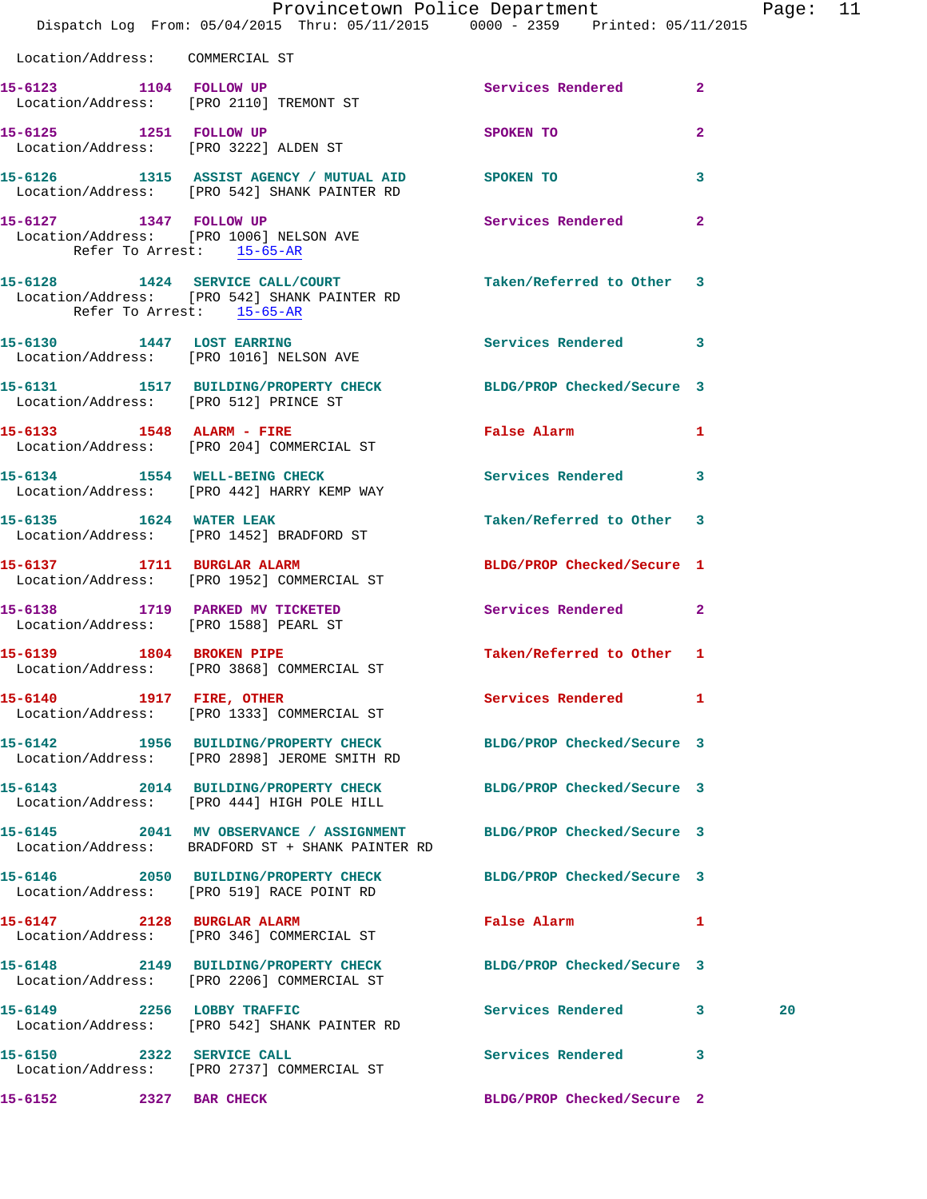|                                 | Dispatch Log From: 05/04/2015 Thru: 05/11/2015 0000 - 2359 Printed: 05/11/2015                                | Provincetown Police Department                                                                                      | Page: 11 |
|---------------------------------|---------------------------------------------------------------------------------------------------------------|---------------------------------------------------------------------------------------------------------------------|----------|
| Location/Address: COMMERCIAL ST |                                                                                                               |                                                                                                                     |          |
|                                 | 15-6123 1104 FOLLOW UP<br>Location/Address: [PRO 2110] TREMONT ST                                             | Services Rendered 2                                                                                                 |          |
|                                 | 15-6125 1251 FOLLOW UP<br>Location/Address: [PRO 3222] ALDEN ST                                               | $\mathbf{2}$<br>SPOKEN TO                                                                                           |          |
|                                 | 15-6126 1315 ASSIST AGENCY / MUTUAL AID SPOKEN TO<br>Location/Address: [PRO 542] SHANK PAINTER RD             | $\mathbf{3}$                                                                                                        |          |
| Refer To Arrest: 15-65-AR       | 15-6127 1347 FOLLOW UP<br>Location/Address: [PRO 1006] NELSON AVE                                             | Services Rendered 2                                                                                                 |          |
| Refer To Arrest: 15-65-AR       | 15-6128 1424 SERVICE CALL/COURT<br>Location/Address: [PRO 542] SHANK PAINTER RD                               | Taken/Referred to Other 3                                                                                           |          |
|                                 | 15-6130 1447 LOST EARRING<br>Location/Address: [PRO 1016] NELSON AVE                                          | Services Rendered 3                                                                                                 |          |
|                                 | 15-6131 1517 BUILDING/PROPERTY CHECK BLDG/PROP Checked/Secure 3<br>Location/Address: [PRO 512] PRINCE ST      |                                                                                                                     |          |
|                                 | 15-6133 1548 ALARM - FIRE<br>Location/Address: [PRO 204] COMMERCIAL ST                                        | <b>False Alarm</b><br>$\mathbf{1}$                                                                                  |          |
|                                 | 15-6134 1554 WELL-BEING CHECK<br>Location/Address: [PRO 442] HARRY KEMP WAY                                   | Services Rendered 3                                                                                                 |          |
| 15-6135 1624 WATER LEAK         | Location/Address: [PRO 1452] BRADFORD ST                                                                      | Taken/Referred to Other 3                                                                                           |          |
|                                 | 15-6137 1711 BURGLAR ALARM<br>Location/Address: [PRO 1952] COMMERCIAL ST                                      | BLDG/PROP Checked/Secure 1                                                                                          |          |
|                                 | 15-6138 1719 PARKED MV TICKETED<br>Location/Address: [PRO 1588] PEARL ST                                      | Services Rendered 2                                                                                                 |          |
|                                 | 15-6139 1804 BROKEN PIPE<br>Location/Address: [PRO 3868] COMMERCIAL ST                                        | Taken/Referred to Other 1                                                                                           |          |
|                                 | 15-6140 1917 FIRE, OTHER<br>Location/Address: [PRO 1333] COMMERCIAL ST                                        | Services Rendered 1                                                                                                 |          |
|                                 | 15-6142 1956 BUILDING/PROPERTY CHECK<br>Location/Address: [PRO 2898] JEROME SMITH RD                          | BLDG/PROP Checked/Secure 3                                                                                          |          |
|                                 | 15-6143 2014 BUILDING/PROPERTY CHECK BLDG/PROP Checked/Secure 3<br>Location/Address: [PRO 444] HIGH POLE HILL |                                                                                                                     |          |
|                                 | 15-6145 2041 MV OBSERVANCE / ASSIGNMENT<br>Location/Address: BRADFORD ST + SHANK PAINTER RD                   | BLDG/PROP Checked/Secure 3                                                                                          |          |
|                                 | 15-6146 2050 BUILDING/PROPERTY CHECK BLDG/PROP Checked/Secure 3<br>Location/Address: [PRO 519] RACE POINT RD  |                                                                                                                     |          |
|                                 | 15-6147 2128 BURGLAR ALARM<br>Location/Address: [PRO 346] COMMERCIAL ST                                       | False Alarm and the state of the state of the state of the state of the state of the state of the state of the<br>1 |          |
|                                 | 15-6148 2149 BUILDING/PROPERTY CHECK BLDG/PROP Checked/Secure 3<br>Location/Address: [PRO 2206] COMMERCIAL ST |                                                                                                                     |          |
|                                 | 15-6149 2256 LOBBY TRAFFIC<br>Location/Address: [PRO 542] SHANK PAINTER RD                                    | Services Rendered 3                                                                                                 | 20       |
| 15-6150 2322 SERVICE CALL       | Location/Address: [PRO 2737] COMMERCIAL ST                                                                    | Services Rendered<br>$\overline{\mathbf{3}}$                                                                        |          |
| 15-6152<br>2327 BAR CHECK       |                                                                                                               | BLDG/PROP Checked/Secure 2                                                                                          |          |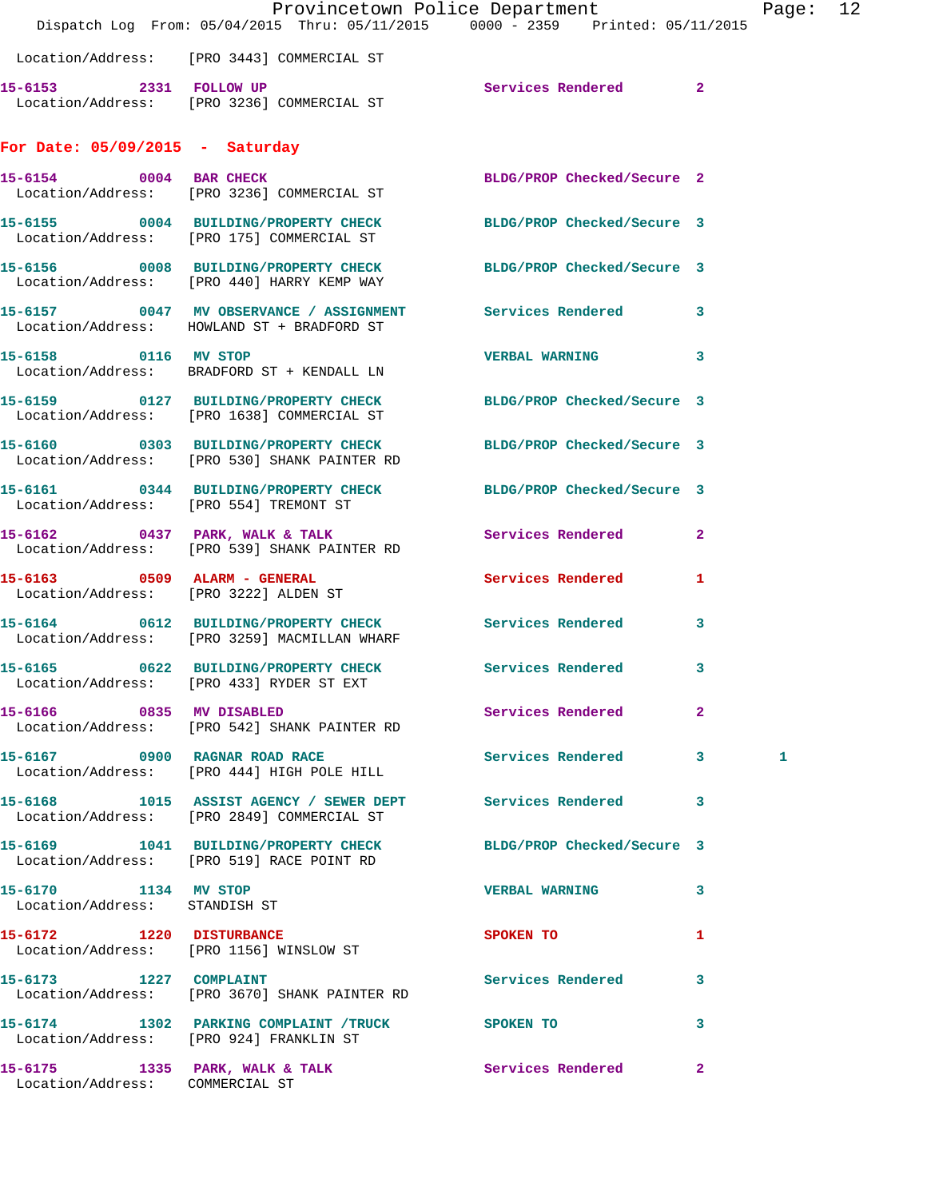|                                                       | Location/Address: [PRO 3443] COMMERCIAL ST                                                                    | Provincetown Police Department<br>Dispatch Log From: 05/04/2015 Thru: 05/11/2015 0000 - 2359 Printed: 05/11/2015 | Page: 12 |
|-------------------------------------------------------|---------------------------------------------------------------------------------------------------------------|------------------------------------------------------------------------------------------------------------------|----------|
|                                                       | 15-6153 2331 FOLLOW UP<br>Location/Address: [PRO 3236] COMMERCIAL ST                                          | Services Rendered 2                                                                                              |          |
| For Date: $05/09/2015$ - Saturday                     |                                                                                                               |                                                                                                                  |          |
| 15-6154 0004 BAR CHECK                                | Location/Address: [PRO 3236] COMMERCIAL ST                                                                    | BLDG/PROP Checked/Secure 2                                                                                       |          |
|                                                       | 15-6155 0004 BUILDING/PROPERTY CHECK BLDG/PROP Checked/Secure 3<br>Location/Address: [PRO 175] COMMERCIAL ST  |                                                                                                                  |          |
|                                                       | 15-6156 0008 BUILDING/PROPERTY CHECK BLDG/PROP Checked/Secure 3<br>Location/Address: [PRO 440] HARRY KEMP WAY |                                                                                                                  |          |
|                                                       | 15-6157 0047 MV OBSERVANCE / ASSIGNMENT Services Rendered 3<br>Location/Address: HOWLAND ST + BRADFORD ST     |                                                                                                                  |          |
| 15-6158 0116 MV STOP                                  | Location/Address: BRADFORD ST + KENDALL LN                                                                    | VERBAL WARNING 3                                                                                                 |          |
|                                                       | 15-6159 0127 BUILDING/PROPERTY CHECK<br>Location/Address: [PRO 1638] COMMERCIAL ST                            | BLDG/PROP Checked/Secure 3                                                                                       |          |
|                                                       | 15-6160 0303 BUILDING/PROPERTY CHECK<br>Location/Address: [PRO 530] SHANK PAINTER RD                          | BLDG/PROP Checked/Secure 3                                                                                       |          |
|                                                       | 15-6161 0344 BUILDING/PROPERTY CHECK BLDG/PROP Checked/Secure 3<br>Location/Address: [PRO 554] TREMONT ST     |                                                                                                                  |          |
|                                                       | 15-6162 0437 PARK, WALK & TALK<br>Location/Address: [PRO 539] SHANK PAINTER RD                                | $\overline{2}$<br>Services Rendered                                                                              |          |
|                                                       | 15-6163 0509 ALARM - GENERAL<br>Location/Address: [PRO 3222] ALDEN ST                                         | <b>Services Rendered</b><br>1                                                                                    |          |
|                                                       | 15-6164 0612 BUILDING/PROPERTY CHECK Services Rendered<br>Location/Address: [PRO 3259] MACMILLAN WHARF        | $\mathbf{3}$                                                                                                     |          |
|                                                       | 15-6165 0622 BUILDING/PROPERTY CHECK Services Rendered 3<br>Location/Address: [PRO 433] RYDER ST EXT          |                                                                                                                  |          |
|                                                       | 15-6166 0835 MV DISABLED<br>Location/Address: [PRO 542] SHANK PAINTER RD                                      | <b>Services Rendered</b> 2                                                                                       |          |
|                                                       | Location/Address: [PRO 444] HIGH POLE HILL                                                                    |                                                                                                                  | 1        |
|                                                       | 15-6168 1015 ASSIST AGENCY / SEWER DEPT Services Rendered 3<br>Location/Address: [PRO 2849] COMMERCIAL ST     |                                                                                                                  |          |
|                                                       | 15-6169 1041 BUILDING/PROPERTY CHECK BLDG/PROP Checked/Secure 3<br>Location/Address: [PRO 519] RACE POINT RD  |                                                                                                                  |          |
| 15-6170 1134 MV STOP<br>Location/Address: STANDISH ST |                                                                                                               | <b>VERBAL WARNING</b><br>$\mathbf{3}$                                                                            |          |
|                                                       | 15-6172 1220 DISTURBANCE<br>Location/Address: [PRO 1156] WINSLOW ST                                           | <b>SPOKEN TO</b><br>1                                                                                            |          |
| 15-6173 1227 COMPLAINT                                | Location/Address: [PRO 3670] SHANK PAINTER RD                                                                 | Services Rendered 3                                                                                              |          |
|                                                       | 15-6174 1302 PARKING COMPLAINT / TRUCK SPOKEN TO<br>Location/Address: [PRO 924] FRANKLIN ST                   | 3                                                                                                                |          |
| Location/Address: COMMERCIAL ST                       | 15-6175 1335 PARK, WALK & TALK                                                                                | <b>Services Rendered</b> 2                                                                                       |          |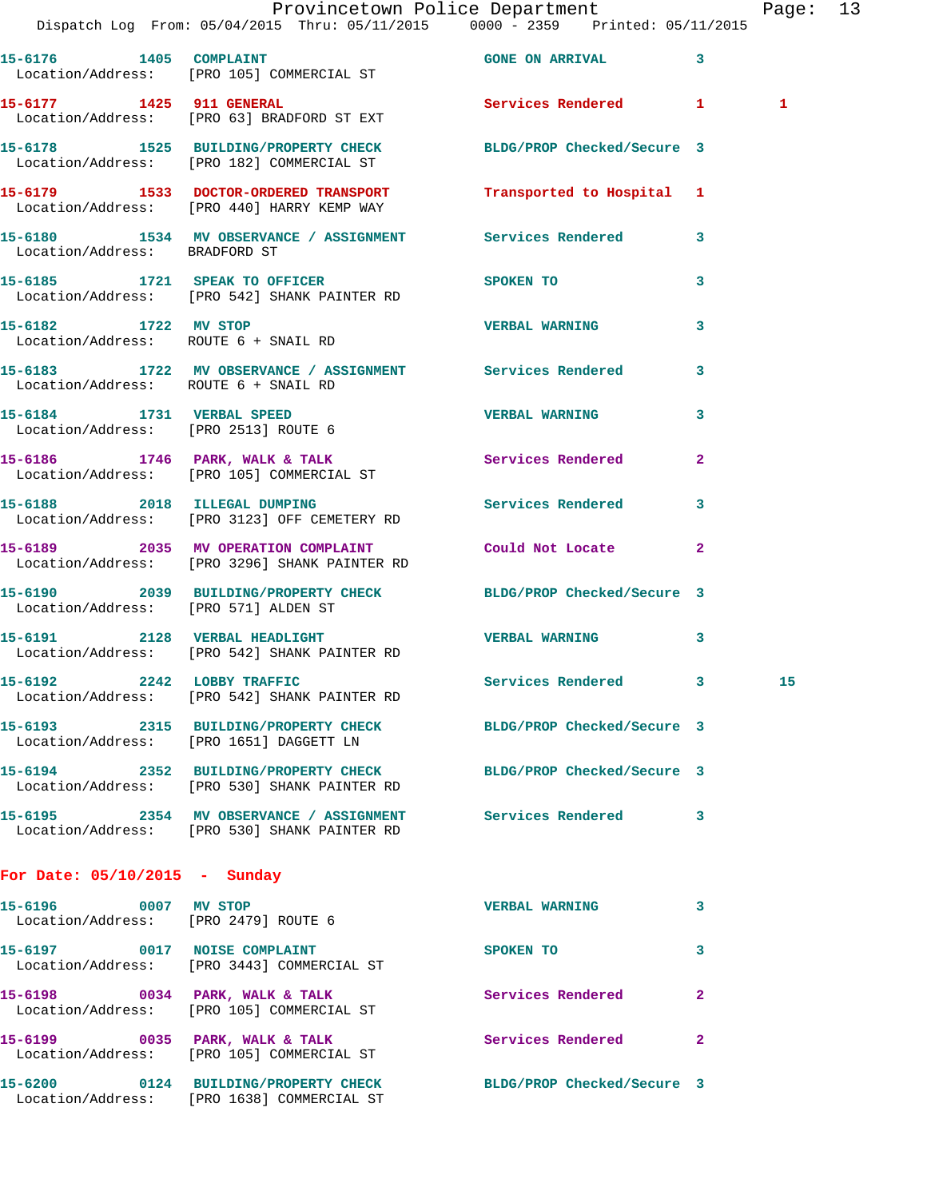|                                      | Provincetown Police Department Fage: 13<br>Dispatch Log From: 05/04/2015 Thru: 05/11/2015 0000 - 2359 Printed: 05/11/2015 |                         |              |   |  |
|--------------------------------------|---------------------------------------------------------------------------------------------------------------------------|-------------------------|--------------|---|--|
|                                      | 15-6176 1405 COMPLAINT<br>Location/Address: [PRO 105] COMMERCIAL ST                                                       | <b>GONE ON ARRIVAL</b>  | 3            |   |  |
|                                      | 15-6177 1425 911 GENERAL<br>Location/Address: [PRO 63] BRADFORD ST EXT                                                    | Services Rendered 1     |              | 1 |  |
|                                      | 15-6178   1525   BUILDING/PROPERTY CHECK   BLDG/PROP Checked/Secure   3<br>Location/Address: [PRO 182] COMMERCIAL ST      |                         |              |   |  |
|                                      | 15-6179   1533   DOCTOR-ORDERED TRANSPORT   Transported to Hospital 1<br>Location/Address: [PRO 440] HARRY KEMP WAY       |                         |              |   |  |
| Location/Address: BRADFORD ST        | 15-6180 1534 MV OBSERVANCE / ASSIGNMENT Services Rendered 3                                                               |                         |              |   |  |
|                                      | 15-6185 1721 SPEAK TO OFFICER SPOKEN TO<br>Location/Address: [PRO 542] SHANK PAINTER RD                                   |                         | 3            |   |  |
| 15-6182 1722 MV STOP                 | Location/Address: ROUTE 6 + SNAIL RD                                                                                      | <b>VERBAL WARNING</b>   | 3            |   |  |
| Location/Address: ROUTE 6 + SNAIL RD | 15-6183 1722 MV OBSERVANCE / ASSIGNMENT Services Rendered                                                                 |                         | 3            |   |  |
|                                      | 15-6184 1731 VERBAL SPEED<br>Location/Address: [PRO 2513] ROUTE 6                                                         | <b>VERBAL WARNING 3</b> |              |   |  |
|                                      | 15-6186 1746 PARK, WALK & TALK 1988 Services Rendered<br>Location/Address: [PRO 105] COMMERCIAL ST                        |                         | $\mathbf{2}$ |   |  |
|                                      | 15-6188 2018 ILLEGAL DUMPING Services Rendered 3<br>Location/Address: [PRO 3123] OFF CEMETERY RD                          |                         |              |   |  |
|                                      | 15-6189 2035 MV OPERATION COMPLAINT Could Not Locate<br>Location/Address: [PRO 3296] SHANK PAINTER RD                     |                         | 2            |   |  |
| Location/Address: [PRO 571] ALDEN ST | 15-6190 2039 BUILDING/PROPERTY CHECK BLDG/PROP Checked/Secure 3                                                           |                         |              |   |  |
|                                      |                                                                                                                           | VERBAL WARNING 3        |              |   |  |
|                                      | 15-6192 2242 LOBBY TRAFFIC<br>Location/Address: [PRO 542] SHANK PAINTER RD                                                | Services Rendered 3     |              |   |  |
|                                      | 15-6193 2315 BUILDING/PROPERTY CHECK BLDG/PROP Checked/Secure 3<br>Location/Address: [PRO 1651] DAGGETT LN                |                         |              |   |  |
|                                      | 15-6194 2352 BUILDING/PROPERTY CHECK BLDG/PROP Checked/Secure 3<br>Location/Address: [PRO 530] SHANK PAINTER RD           |                         |              |   |  |
|                                      | Location/Address: [PRO 530] SHANK PAINTER RD                                                                              |                         | 3            |   |  |
| For Date: $05/10/2015$ - Sunday      |                                                                                                                           |                         |              |   |  |
| Location/Address: [PRO 2479] ROUTE 6 | 15-6196 0007 MV STOP                                                                                                      | <b>VERBAL WARNING</b>   | 3            |   |  |
|                                      | 15-6197 0017 NOISE COMPLAINT<br>Location/Address: [PRO 3443] COMMERCIAL ST                                                | SPOKEN TO               | 3            |   |  |
|                                      | 15-6198 0034 PARK, WALK & TALK<br>Location/Address: [PRO 105] COMMERCIAL ST                                               | Services Rendered       | 2            |   |  |
|                                      | 15-6199 0035 PARK, WALK & TALK<br>Location/Address: [PRO 105] COMMERCIAL ST                                               | Services Rendered       | $\mathbf{2}$ |   |  |

**15-6200 0124 BUILDING/PROPERTY CHECK BLDG/PROP Checked/Secure 3**  Location/Address: [PRO 1638] COMMERCIAL ST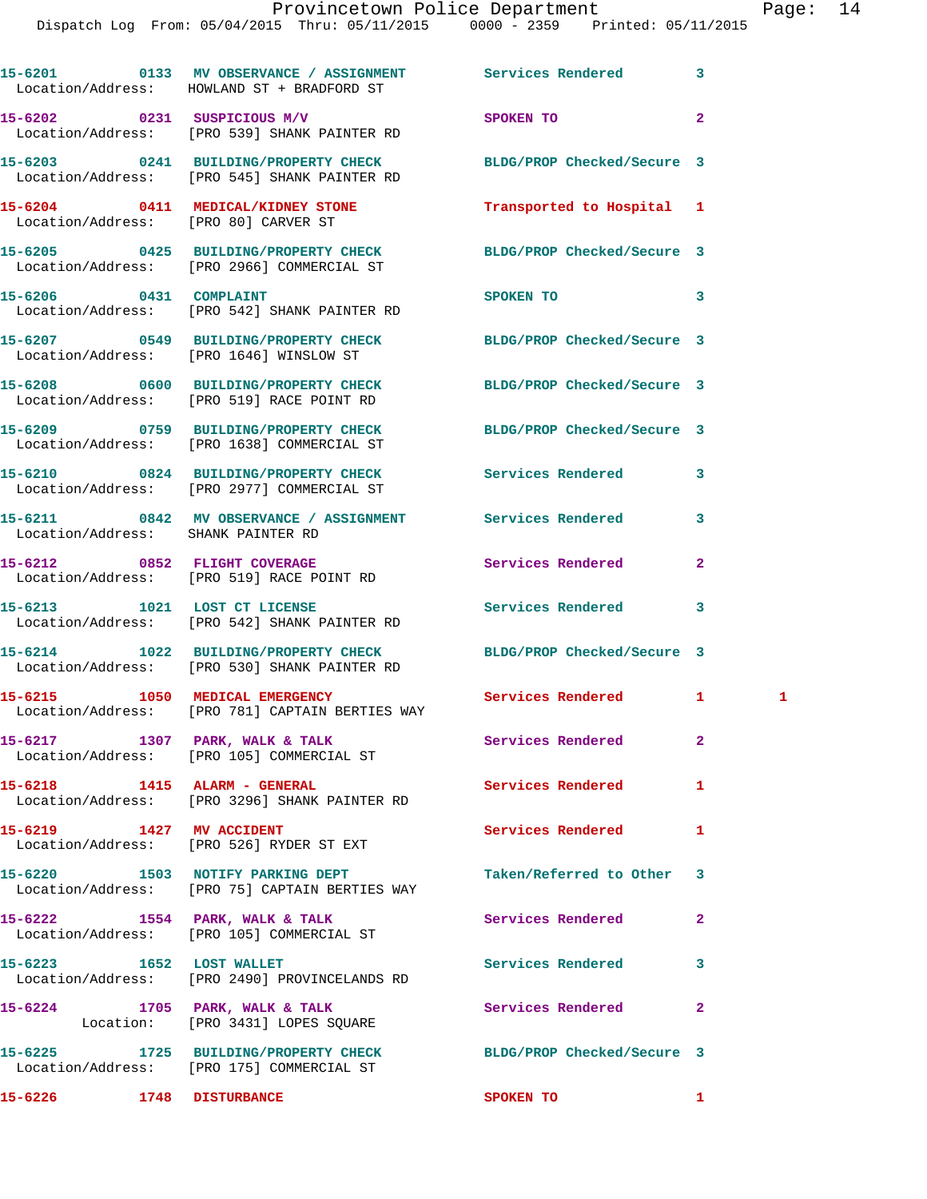|                                      | 15-6201 0133 MV OBSERVANCE / ASSIGNMENT Services Rendered<br>Location/Address: HOWLAND ST + BRADFORD ST       |                            | 3            |  |
|--------------------------------------|---------------------------------------------------------------------------------------------------------------|----------------------------|--------------|--|
|                                      | 15-6202 0231 SUSPICIOUS M/V<br>Location/Address: [PRO 539] SHANK PAINTER RD                                   | SPOKEN TO                  | $\mathbf{2}$ |  |
|                                      | 15-6203 0241 BUILDING/PROPERTY CHECK<br>Location/Address: [PRO 545] SHANK PAINTER RD                          | BLDG/PROP Checked/Secure 3 |              |  |
| Location/Address: [PRO 80] CARVER ST | 15-6204 0411 MEDICAL/KIDNEY STONE                                                                             | Transported to Hospital 1  |              |  |
|                                      | 15-6205 0425 BUILDING/PROPERTY CHECK<br>Location/Address: [PRO 2966] COMMERCIAL ST                            | BLDG/PROP Checked/Secure 3 |              |  |
| 15-6206 0431 COMPLAINT               | Location/Address: [PRO 542] SHANK PAINTER RD                                                                  | SPOKEN TO                  | 3            |  |
|                                      | 15-6207 0549 BUILDING/PROPERTY CHECK<br>Location/Address: [PRO 1646] WINSLOW ST                               | BLDG/PROP Checked/Secure 3 |              |  |
|                                      | 15-6208 0600 BUILDING/PROPERTY CHECK<br>Location/Address: [PRO 519] RACE POINT RD                             | BLDG/PROP Checked/Secure 3 |              |  |
|                                      | 15-6209 0759 BUILDING/PROPERTY CHECK BLDG/PROP Checked/Secure 3<br>Location/Address: [PRO 1638] COMMERCIAL ST |                            |              |  |
|                                      | 15-6210 0824 BUILDING/PROPERTY CHECK<br>Location/Address: [PRO 2977] COMMERCIAL ST                            | Services Rendered          | 3            |  |
| Location/Address: SHANK PAINTER RD   | 15-6211 0842 MV OBSERVANCE / ASSIGNMENT Services Rendered                                                     |                            | 3            |  |
|                                      | 15-6212 0852 FLIGHT COVERAGE<br>Location/Address: [PRO 519] RACE POINT RD                                     | Services Rendered          | $\mathbf{2}$ |  |
| 15-6213 1021 LOST CT LICENSE         | Location/Address: [PRO 542] SHANK PAINTER RD                                                                  | Services Rendered          | 3            |  |
|                                      | 15-6214 1022 BUILDING/PROPERTY CHECK<br>Location/Address: [PRO 530] SHANK PAINTER RD                          | BLDG/PROP Checked/Secure 3 |              |  |
| 15-6215 1050 MEDICAL EMERGENCY       | Location/Address: [PRO 781] CAPTAIN BERTIES WAY                                                               | Services Rendered 1        | $\mathbf{1}$ |  |
|                                      | 15-6217 1307 PARK, WALK & TALK<br>Location/Address: [PRO 105] COMMERCIAL ST                                   | Services Rendered          | $\mathbf{2}$ |  |
| 15-6218 1415 ALARM - GENERAL         | Location/Address: [PRO 3296] SHANK PAINTER RD                                                                 | <b>Services Rendered</b>   | 1            |  |
|                                      | 15-6219 1427 MV ACCIDENT<br>Location/Address: [PRO 526] RYDER ST EXT                                          | <b>Services Rendered</b>   | 1            |  |
|                                      | 15-6220 1503 NOTIFY PARKING DEPT<br>Location/Address: [PRO 75] CAPTAIN BERTIES WAY                            | Taken/Referred to Other    | 3            |  |
|                                      | 15-6222 1554 PARK, WALK & TALK<br>Location/Address: [PRO 105] COMMERCIAL ST                                   | Services Rendered          | $\mathbf{2}$ |  |
| 15-6223 1652 LOST WALLET             | Location/Address: [PRO 2490] PROVINCELANDS RD                                                                 | Services Rendered          | 3            |  |
|                                      | 15-6224 1705 PARK, WALK & TALK<br>Location: [PRO 3431] LOPES SQUARE                                           | Services Rendered          | $\mathbf{2}$ |  |
|                                      | 15-6225 1725 BUILDING/PROPERTY CHECK<br>Location/Address: [PRO 175] COMMERCIAL ST                             | BLDG/PROP Checked/Secure 3 |              |  |
| 15-6226 1748 DISTURBANCE             |                                                                                                               | SPOKEN TO                  | $\mathbf{1}$ |  |